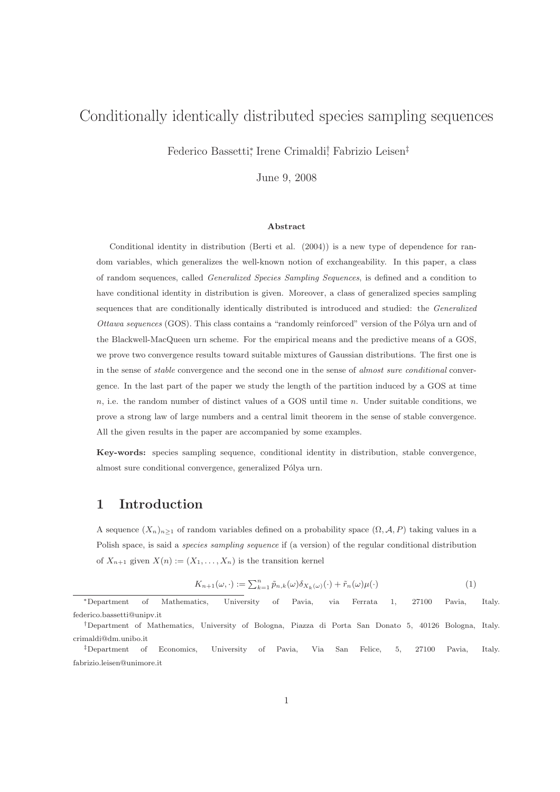# Conditionally identically distributed species sampling sequences

Federico Bassetti,<sup>\*</sup> Irene Crimaldi<sup>†</sup>, Fabrizio Leisen<sup>‡</sup>

June 9, 2008

#### Abstract

Conditional identity in distribution (Berti et al. (2004)) is a new type of dependence for random variables, which generalizes the well-known notion of exchangeability. In this paper, a class of random sequences, called Generalized Species Sampling Sequences, is defined and a condition to have conditional identity in distribution is given. Moreover, a class of generalized species sampling sequences that are conditionally identically distributed is introduced and studied: the Generalized Ottawa sequences (GOS). This class contains a "randomly reinforced" version of the Pólya urn and of the Blackwell-MacQueen urn scheme. For the empirical means and the predictive means of a GOS, we prove two convergence results toward suitable mixtures of Gaussian distributions. The first one is in the sense of *stable* convergence and the second one in the sense of *almost sure conditional* convergence. In the last part of the paper we study the length of the partition induced by a GOS at time  $n$ , i.e. the random number of distinct values of a GOS until time  $n$ . Under suitable conditions, we prove a strong law of large numbers and a central limit theorem in the sense of stable convergence. All the given results in the paper are accompanied by some examples.

Key-words: species sampling sequence, conditional identity in distribution, stable convergence, almost sure conditional convergence, generalized Pólya urn.

### 1 Introduction

A sequence  $(X_n)_{n>1}$  of random variables defined on a probability space  $(\Omega, \mathcal{A}, P)$  taking values in a Polish space, is said a species sampling sequence if (a version) of the regular conditional distribution of  $X_{n+1}$  given  $X(n) := (X_1, \ldots, X_n)$  is the transition kernel

$$
K_{n+1}(\omega,\cdot) := \sum_{k=1}^{n} \tilde{p}_{n,k}(\omega) \delta_{X_k(\omega)}(\cdot) + \tilde{r}_n(\omega)\mu(\cdot)
$$
\n(1)

<sup>∗</sup>Department of Mathematics, University of Pavia, via Ferrata 1, 27100 Pavia, Italy. federico.bassetti@unipv.it

<sup>†</sup>Department of Mathematics, University of Bologna, Piazza di Porta San Donato 5, 40126 Bologna, Italy. crimaldi@dm.unibo.it

<sup>‡</sup>Department of Economics, University of Pavia, Via San Felice, 5, 27100 Pavia, Italy. fabrizio.leisen@unimore.it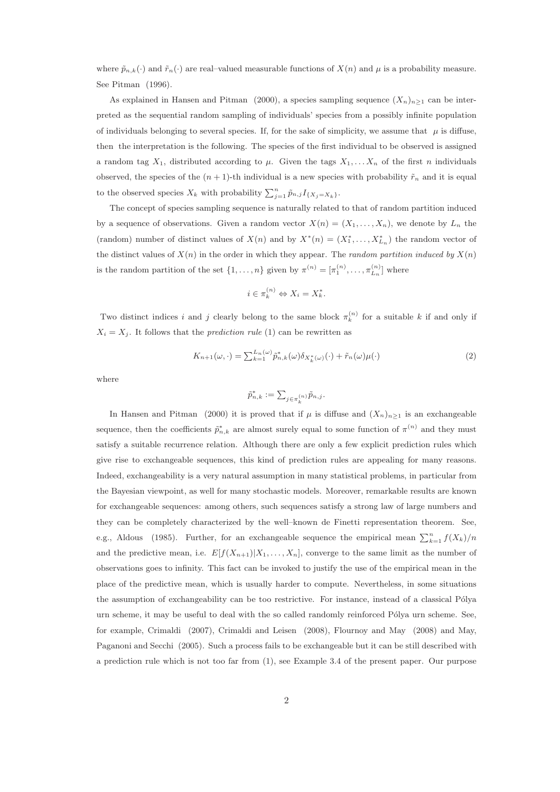where  $\tilde{p}_{n,k}(\cdot)$  and  $\tilde{r}_n(\cdot)$  are real–valued measurable functions of  $X(n)$  and  $\mu$  is a probability measure. See Pitman (1996).

As explained in Hansen and Pitman (2000), a species sampling sequence  $(X_n)_{n\geq 1}$  can be interpreted as the sequential random sampling of individuals' species from a possibly infinite population of individuals belonging to several species. If, for the sake of simplicity, we assume that  $\mu$  is diffuse, then the interpretation is the following. The species of the first individual to be observed is assigned a random tag  $X_1$ , distributed according to  $\mu$ . Given the tags  $X_1, \ldots, X_n$  of the first n individuals observed, the species of the  $(n + 1)$ -th individual is a new species with probability  $\tilde{r}_n$  and it is equal to the observed species  $X_k$  with probability  $\sum_{j=1}^n \tilde{p}_{n,j} I_{\{X_j = X_k\}}$ .

The concept of species sampling sequence is naturally related to that of random partition induced by a sequence of observations. Given a random vector  $X(n) = (X_1, \ldots, X_n)$ , we denote by  $L_n$  the (random) number of distinct values of  $X(n)$  and by  $X^*(n) = (X_1^*, \ldots, X_{L_n}^*)$  the random vector of the distinct values of  $X(n)$  in the order in which they appear. The *random partition induced by*  $X(n)$ is the random partition of the set  $\{1, \ldots, n\}$  given by  $\pi^{(n)} = [\pi_1^{(n)}, \ldots, \pi_{L_n}^{(n)}]$  where

$$
i \in \pi_k^{(n)} \Leftrightarrow X_i = X_k^*.
$$

Two distinct indices i and j clearly belong to the same block  $\pi_k^{(n)}$  for a suitable k if and only if  $X_i = X_j$ . It follows that the *prediction rule* (1) can be rewritten as

$$
K_{n+1}(\omega,\cdot) = \sum_{k=1}^{L_n(\omega)} \hat{p}_{n,k}^*(\omega) \delta_{X_k^*(\omega)}(\cdot) + \tilde{r}_n(\omega)\mu(\cdot)
$$
\n(2)

where

$$
\tilde{p}^*_{n,k}:=\sum_{j\in\pi_k^{(n)}}\tilde{p}_{n,j}.
$$

In Hansen and Pitman (2000) it is proved that if  $\mu$  is diffuse and  $(X_n)_{n\geq 1}$  is an exchangeable sequence, then the coefficients  $\tilde{p}_{n,k}^*$  are almost surely equal to some function of  $\pi^{(n)}$  and they must satisfy a suitable recurrence relation. Although there are only a few explicit prediction rules which give rise to exchangeable sequences, this kind of prediction rules are appealing for many reasons. Indeed, exchangeability is a very natural assumption in many statistical problems, in particular from the Bayesian viewpoint, as well for many stochastic models. Moreover, remarkable results are known for exchangeable sequences: among others, such sequences satisfy a strong law of large numbers and they can be completely characterized by the well–known de Finetti representation theorem. See, e.g., Aldous (1985). Further, for an exchangeable sequence the empirical mean  $\sum_{k=1}^{n} f(X_k)/n$ and the predictive mean, i.e.  $E[f(X_{n+1})|X_1,\ldots,X_n]$ , converge to the same limit as the number of observations goes to infinity. This fact can be invoked to justify the use of the empirical mean in the place of the predictive mean, which is usually harder to compute. Nevertheless, in some situations the assumption of exchangeability can be too restrictive. For instance, instead of a classical Pólya urn scheme, it may be useful to deal with the so called randomly reinforced Pólya urn scheme. See, for example, Crimaldi (2007), Crimaldi and Leisen (2008), Flournoy and May (2008) and May, Paganoni and Secchi (2005). Such a process fails to be exchangeable but it can be still described with a prediction rule which is not too far from (1), see Example 3.4 of the present paper. Our purpose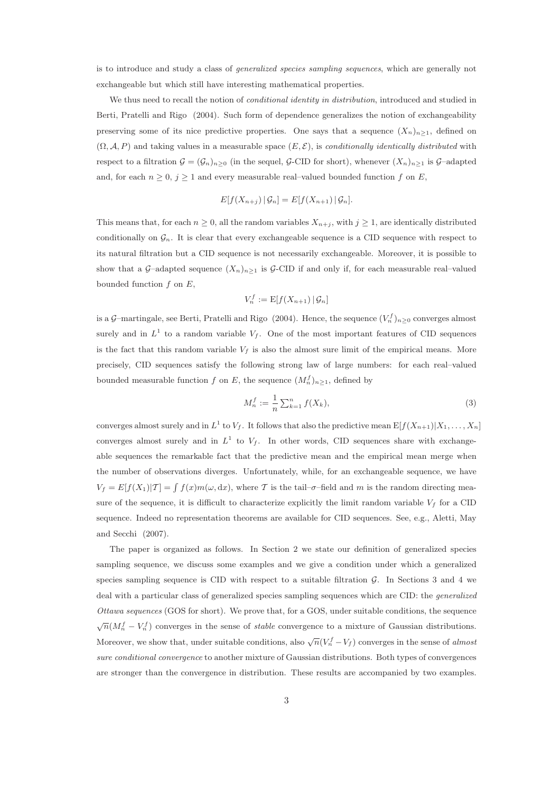is to introduce and study a class of generalized species sampling sequences, which are generally not exchangeable but which still have interesting mathematical properties.

We thus need to recall the notion of *conditional identity in distribution*, introduced and studied in Berti, Pratelli and Rigo (2004). Such form of dependence generalizes the notion of exchangeability preserving some of its nice predictive properties. One says that a sequence  $(X_n)_{n>1}$ , defined on  $(\Omega, \mathcal{A}, P)$  and taking values in a measurable space  $(E, \mathcal{E})$ , is conditionally identically distributed with respect to a filtration  $\mathcal{G} = (\mathcal{G}_n)_{n>0}$  (in the sequel, G-CID for short), whenever  $(X_n)_{n>1}$  is G–adapted and, for each  $n \geq 0$ ,  $j \geq 1$  and every measurable real–valued bounded function f on E,

$$
E[f(X_{n+j}) | \mathcal{G}_n] = E[f(X_{n+1}) | \mathcal{G}_n].
$$

This means that, for each  $n \geq 0$ , all the random variables  $X_{n+j}$ , with  $j \geq 1$ , are identically distributed conditionally on  $\mathcal{G}_n$ . It is clear that every exchangeable sequence is a CID sequence with respect to its natural filtration but a CID sequence is not necessarily exchangeable. Moreover, it is possible to show that a G–adapted sequence  $(X_n)_{n\geq 1}$  is G-CID if and only if, for each measurable real–valued bounded function  $f$  on  $E$ ,

$$
V_n^f := \mathrm{E}[f(X_{n+1}) \,|\, \mathcal{G}_n]
$$

is a G–martingale, see Berti, Pratelli and Rigo (2004). Hence, the sequence  $(V_n^f)_{n\geq 0}$  converges almost surely and in  $L^1$  to a random variable  $V_f$ . One of the most important features of CID sequences is the fact that this random variable  $V_f$  is also the almost sure limit of the empirical means. More precisely, CID sequences satisfy the following strong law of large numbers: for each real–valued bounded measurable function f on E, the sequence  $(M_n^f)_{n\geq 1}$ , defined by

$$
M_n^f := \frac{1}{n} \sum_{k=1}^n f(X_k),
$$
\n(3)

converges almost surely and in  $L^1$  to  $V_f$ . It follows that also the predictive mean  $\mathbb{E}[f(X_{n+1})|X_1,\ldots,X_n]$ converges almost surely and in  $L^1$  to  $V_f$ . In other words, CID sequences share with exchangeable sequences the remarkable fact that the predictive mean and the empirical mean merge when the number of observations diverges. Unfortunately, while, for an exchangeable sequence, we have  $V_f = E[f(X_1)|T] = \int f(x)m(\omega, dx)$ , where T is the tail- $\sigma$ -field and m is the random directing measure of the sequence, it is difficult to characterize explicitly the limit random variable  $V_f$  for a CID sequence. Indeed no representation theorems are available for CID sequences. See, e.g., Aletti, May and Secchi (2007).

The paper is organized as follows. In Section 2 we state our definition of generalized species sampling sequence, we discuss some examples and we give a condition under which a generalized species sampling sequence is CID with respect to a suitable filtration  $\mathcal{G}$ . In Sections 3 and 4 we deal with a particular class of generalized species sampling sequences which are CID: the generalized Ottawa sequences (GOS for short). We prove that, for a GOS, under suitable conditions, the sequence  $\sqrt{n}(M_n^f - V_n^f)$  converges in the sense of *stable* convergence to a mixture of Gaussian distributions. Moreover, we show that, under suitable conditions, also  $\sqrt{n}(V_n^f - V_f)$  converges in the sense of almost sure conditional convergence to another mixture of Gaussian distributions. Both types of convergences are stronger than the convergence in distribution. These results are accompanied by two examples.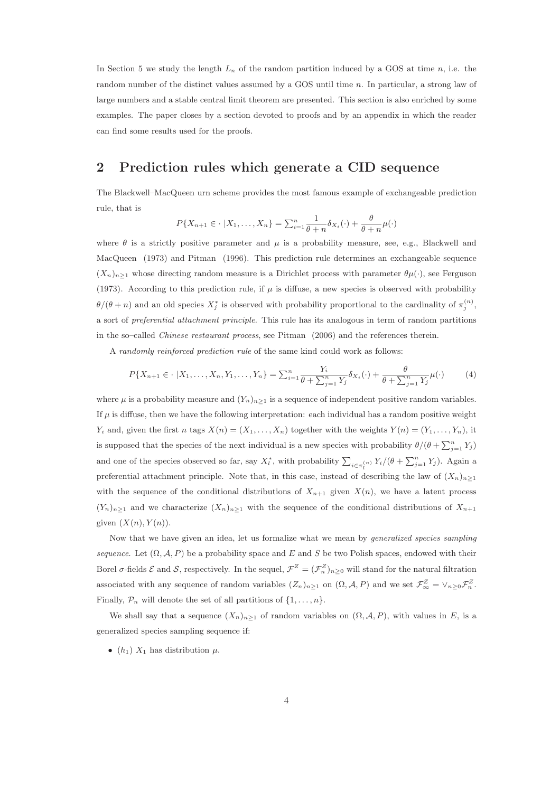In Section 5 we study the length  $L_n$  of the random partition induced by a GOS at time n, i.e. the random number of the distinct values assumed by a GOS until time n. In particular, a strong law of large numbers and a stable central limit theorem are presented. This section is also enriched by some examples. The paper closes by a section devoted to proofs and by an appendix in which the reader can find some results used for the proofs.

### 2 Prediction rules which generate a CID sequence

The Blackwell–MacQueen urn scheme provides the most famous example of exchangeable prediction rule, that is

$$
P\{X_{n+1}\in\cdot\;|X_1,\ldots,X_n\}=\sum_{i=1}^n\frac{1}{\theta+n}\delta_{X_i}(\cdot)+\frac{\theta}{\theta+n}\mu(\cdot)
$$

where  $\theta$  is a strictly positive parameter and  $\mu$  is a probability measure, see, e.g., Blackwell and MacQueen (1973) and Pitman (1996). This prediction rule determines an exchangeable sequence  $(X_n)_{n\geq 1}$  whose directing random measure is a Dirichlet process with parameter  $\theta\mu(\cdot)$ , see Ferguson (1973). According to this prediction rule, if  $\mu$  is diffuse, a new species is observed with probability  $\theta/(\theta+n)$  and an old species  $X_j^*$  is observed with probability proportional to the cardinality of  $\pi_j^{(n)}$ , a sort of preferential attachment principle. This rule has its analogous in term of random partitions in the so–called Chinese restaurant process, see Pitman (2006) and the references therein.

A randomly reinforced prediction rule of the same kind could work as follows:

$$
P\{X_{n+1} \in \cdot \ | X_1, \dots, X_n, Y_1, \dots, Y_n\} = \sum_{i=1}^n \frac{Y_i}{\theta + \sum_{j=1}^n Y_j} \delta_{X_i}(\cdot) + \frac{\theta}{\theta + \sum_{j=1}^n Y_j} \mu(\cdot) \tag{4}
$$

where  $\mu$  is a probability measure and  $(Y_n)_{n>1}$  is a sequence of independent positive random variables. If  $\mu$  is diffuse, then we have the following interpretation: each individual has a random positive weight  $Y_i$  and, given the first n tags  $X(n) = (X_1, \ldots, X_n)$  together with the weights  $Y(n) = (Y_1, \ldots, Y_n)$ , it is supposed that the species of the next individual is a new species with probability  $\theta/(\theta + \sum_{j=1}^{n} Y_j)$ and one of the species observed so far, say  $X_l^*$ , with probability  $\sum_{i \in \pi_l^{(n)}} Y_i/(\theta + \sum_{j=1}^n Y_j)$ . Again a preferential attachment principle. Note that, in this case, instead of describing the law of  $(X_n)_{n\geq 1}$ with the sequence of the conditional distributions of  $X_{n+1}$  given  $X(n)$ , we have a latent process  $(Y_n)_{n\geq 1}$  and we characterize  $(X_n)_{n\geq 1}$  with the sequence of the conditional distributions of  $X_{n+1}$ given  $(X(n), Y(n))$ .

Now that we have given an idea, let us formalize what we mean by generalized species sampling sequence. Let  $(\Omega, \mathcal{A}, P)$  be a probability space and E and S be two Polish spaces, endowed with their Borel  $\sigma$ -fields  $\mathcal E$  and  $\mathcal S$ , respectively. In the sequel,  $\mathcal F^Z=(\mathcal F^Z_n)_{n\geq 0}$  will stand for the natural filtration associated with any sequence of random variables  $(Z_n)_{n\geq 1}$  on  $(\Omega, \mathcal{A}, P)$  and we set  $\mathcal{F}_{\infty}^Z = \vee_{n\geq 0} \mathcal{F}_{n}^Z$ . Finally,  $\mathcal{P}_n$  will denote the set of all partitions of  $\{1, \ldots, n\}$ .

We shall say that a sequence  $(X_n)_{n\geq 1}$  of random variables on  $(\Omega, \mathcal{A}, P)$ , with values in E, is a generalized species sampling sequence if:

•  $(h_1)$   $X_1$  has distribution  $\mu$ .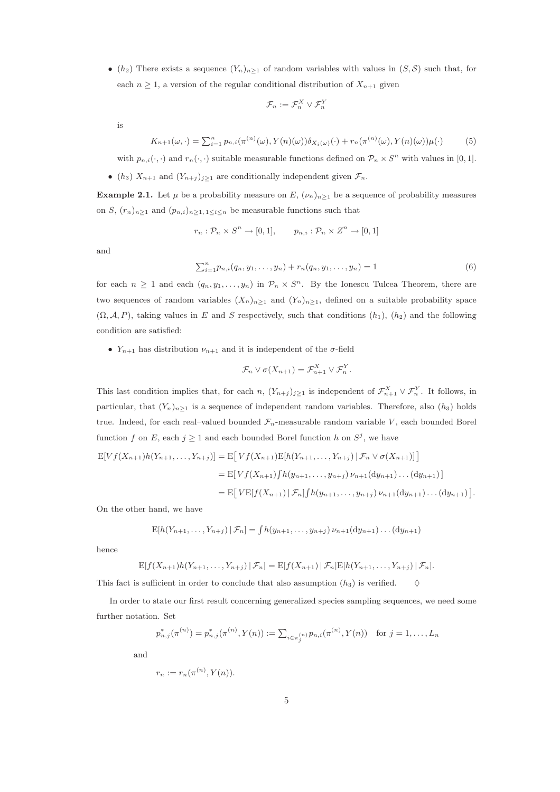• (h<sub>2</sub>) There exists a sequence  $(Y_n)_{n\geq 1}$  of random variables with values in  $(S, S)$  such that, for each  $n \geq 1$ , a version of the regular conditional distribution of  $X_{n+1}$  given

$$
\mathcal{F}_n := \mathcal{F}_n^X \vee \mathcal{F}_n^Y
$$

is

$$
K_{n+1}(\omega, \cdot) = \sum_{i=1}^{n} p_{n,i}(\pi^{(n)}(\omega), Y(n)(\omega)) \delta_{X_i(\omega)}(\cdot) + r_n(\pi^{(n)}(\omega), Y(n)(\omega)) \mu(\cdot)
$$
(5)

with  $p_{n,i}(\cdot, \cdot)$  and  $r_n(\cdot, \cdot)$  suitable measurable functions defined on  $\mathcal{P}_n \times S^n$  with values in [0, 1].

• (h<sub>3</sub>)  $X_{n+1}$  and  $(Y_{n+j})_{j\geq 1}$  are conditionally independent given  $\mathcal{F}_n$ .

**Example 2.1.** Let  $\mu$  be a probability measure on E,  $(\nu_n)_{n\geq 1}$  be a sequence of probability measures on S,  $(r_n)_{n\geq 1}$  and  $(p_{n,i})_{n\geq 1, 1\leq i\leq n}$  be measurable functions such that

$$
r_n: \mathcal{P}_n \times S^n \to [0,1], \qquad p_{n,i}: \mathcal{P}_n \times Z^n \to [0,1]
$$

and

$$
\sum_{i=1}^{n} p_{n,i}(q_n, y_1, \dots, y_n) + r_n(q_n, y_1, \dots, y_n) = 1
$$
\n(6)

for each  $n \geq 1$  and each  $(q_n, y_1, \ldots, y_n)$  in  $\mathcal{P}_n \times S^n$ . By the Ionescu Tulcea Theorem, there are two sequences of random variables  $(X_n)_{n\geq 1}$  and  $(Y_n)_{n\geq 1}$ , defined on a suitable probability space  $(\Omega, \mathcal{A}, P)$ , taking values in E and S respectively, such that conditions  $(h_1), (h_2)$  and the following condition are satisfied:

•  $Y_{n+1}$  has distribution  $\nu_{n+1}$  and it is independent of the  $\sigma$ -field

$$
\mathcal{F}_n \vee \sigma(X_{n+1}) = \mathcal{F}_{n+1}^X \vee \mathcal{F}_n^Y.
$$

This last condition implies that, for each n,  $(Y_{n+j})_{j\geq 1}$  is independent of  $\mathcal{F}_{n+1}^X \vee \mathcal{F}_n^Y$ . It follows, in particular, that  $(Y_n)_{n\geq 1}$  is a sequence of independent random variables. Therefore, also  $(h_3)$  holds true. Indeed, for each real–valued bounded  $\mathcal{F}_n$ -measurable random variable V, each bounded Borel function f on E, each  $j \ge 1$  and each bounded Borel function h on  $S^j$ , we have

$$
E[Vf(X_{n+1})h(Y_{n+1},...,Y_{n+j})] = E[Vf(X_{n+1})E[h(Y_{n+1},...,Y_{n+j}) | \mathcal{F}_n \vee \sigma(X_{n+1})]]
$$
  
= 
$$
E[Vf(X_{n+1})\int h(y_{n+1},...,y_{n+j}) \nu_{n+1}(dy_{n+1})...(dy_{n+1})]
$$
  
= 
$$
E[VE[f(X_{n+1}) | \mathcal{F}_n]\int h(y_{n+1},...,y_{n+j}) \nu_{n+1}(dy_{n+1})...(dy_{n+1})].
$$

On the other hand, we have

$$
E[h(Y_{n+1},...,Y_{n+j}) | \mathcal{F}_n] = \int h(y_{n+1},...,y_{n+j}) \nu_{n+1}(dy_{n+1}) \dots (dy_{n+1})
$$

hence

$$
E[f(X_{n+1})h(Y_{n+1},...,Y_{n+j}) | \mathcal{F}_n] = E[f(X_{n+1}) | \mathcal{F}_n] E[h(Y_{n+1},...,Y_{n+j}) | \mathcal{F}_n].
$$

This fact is sufficient in order to conclude that also assumption  $(h_3)$  is verified.  $\diamond$ 

In order to state our first result concerning generalized species sampling sequences, we need some further notation. Set

$$
p_{n,j}^*(\pi^{(n)}) = p_{n,j}^*(\pi^{(n)}, Y(n)) := \sum_{i \in \pi_j^{(n)}} p_{n,i}(\pi^{(n)}, Y(n)) \text{ for } j = 1, \dots, L_n
$$

and

$$
r_n := r_n(\pi^{(n)}, Y(n)).
$$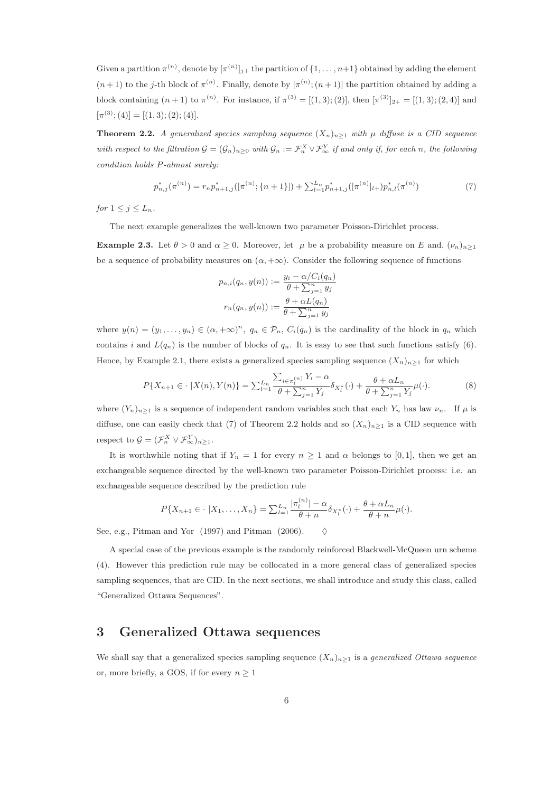Given a partition  $\pi^{(n)}$ , denote by  $[\pi^{(n)}]_{j+}$  the partition of  $\{1,\ldots,n+1\}$  obtained by adding the element  $(n+1)$  to the j-th block of  $\pi^{(n)}$ . Finally, denote by  $[\pi^{(n)}; (n+1)]$  the partition obtained by adding a block containing  $(n+1)$  to  $\pi^{(n)}$ . For instance, if  $\pi^{(3)} = [(1,3); (2)]$ , then  $[\pi^{(3)}]_{2+} = [(1,3); (2,4)]$  and  $[\pi^{(3)}; (4)] = [(1,3); (2); (4)].$ 

**Theorem 2.2.** A generalized species sampling sequence  $(X_n)_{n\geq 1}$  with  $\mu$  diffuse is a CID sequence with respect to the filtration  $G = (\mathcal{G}_n)_{n \geq 0}$  with  $\mathcal{G}_n := \mathcal{F}_n^X \vee \mathcal{F}_\infty^Y$  if and only if, for each n, the following condition holds P-almost surely:

$$
p_{n,j}^*(\pi^{(n)}) = r_n p_{n+1,j}^*([\pi^{(n)}; \{n+1\}]) + \sum_{l=1}^{L_n} p_{n+1,j}^*([\pi^{(n)}]_{l+}) p_{n,l}^*(\pi^{(n)})
$$
(7)

for  $1 \leq j \leq L_n$ .

The next example generalizes the well-known two parameter Poisson-Dirichlet process.

**Example 2.3.** Let  $\theta > 0$  and  $\alpha > 0$ . Moreover, let  $\mu$  be a probability measure on E and,  $(\nu_n)_{n\geq 1}$ be a sequence of probability measures on  $(\alpha, +\infty)$ . Consider the following sequence of functions

$$
p_{n,i}(q_n, y(n)) := \frac{y_i - \alpha/C_i(q_n)}{\theta + \sum_{j=1}^n y_j}
$$

$$
r_n(q_n, y(n)) := \frac{\theta + \alpha L(q_n)}{\theta + \sum_{j=1}^n y_j}
$$

where  $y(n) = (y_1, \ldots, y_n) \in (\alpha, +\infty)^n$ ,  $q_n \in \mathcal{P}_n$ ,  $C_i(q_n)$  is the cardinality of the block in  $q_n$  which contains i and  $L(q_n)$  is the number of blocks of  $q_n$ . It is easy to see that such functions satisfy (6). Hence, by Example 2.1, there exists a generalized species sampling sequence  $(X_n)_{n\geq 1}$  for which

$$
P\{X_{n+1}\in\cdot\;|X(n),Y(n)\}=\sum_{l=1}^{L_n}\frac{\sum_{i\in\pi_l^{(n)}}Y_i-\alpha}{\theta+\sum_{j=1}^nY_j}\delta_{X_l^*}(\cdot)+\frac{\theta+\alpha L_n}{\theta+\sum_{j=1}^nY_j}\mu(\cdot). \tag{8}
$$

where  $(Y_n)_{n\geq 1}$  is a sequence of independent random variables such that each  $Y_n$  has law  $\nu_n$ . If  $\mu$  is diffuse, one can easily check that (7) of Theorem 2.2 holds and so  $(X_n)_{n\geq 1}$  is a CID sequence with respect to  $\mathcal{G} = (\mathcal{F}_n^X \vee \mathcal{F}_{\infty}^Y)_{n \geq 1}$ .

It is worthwhile noting that if  $Y_n = 1$  for every  $n \geq 1$  and  $\alpha$  belongs to [0,1], then we get an exchangeable sequence directed by the well-known two parameter Poisson-Dirichlet process: i.e. an exchangeable sequence described by the prediction rule

$$
P\{X_{n+1} \in \cdot \ |X_1, \dots, X_n\} = \sum_{l=1}^{L_n} \frac{|\pi_l^{(n)}| - \alpha}{\theta + n} \delta_{X_l^*}(\cdot) + \frac{\theta + \alpha L_n}{\theta + n} \mu(\cdot).
$$

See, e.g., Pitman and Yor (1997) and Pitman (2006).  $\Diamond$ 

A special case of the previous example is the randomly reinforced Blackwell-McQueen urn scheme (4). However this prediction rule may be collocated in a more general class of generalized species sampling sequences, that are CID. In the next sections, we shall introduce and study this class, called "Generalized Ottawa Sequences".

## 3 Generalized Ottawa sequences

We shall say that a generalized species sampling sequence  $(X_n)_{n\geq 1}$  is a *generalized Ottawa sequence* or, more briefly, a GOS, if for every  $n \geq 1$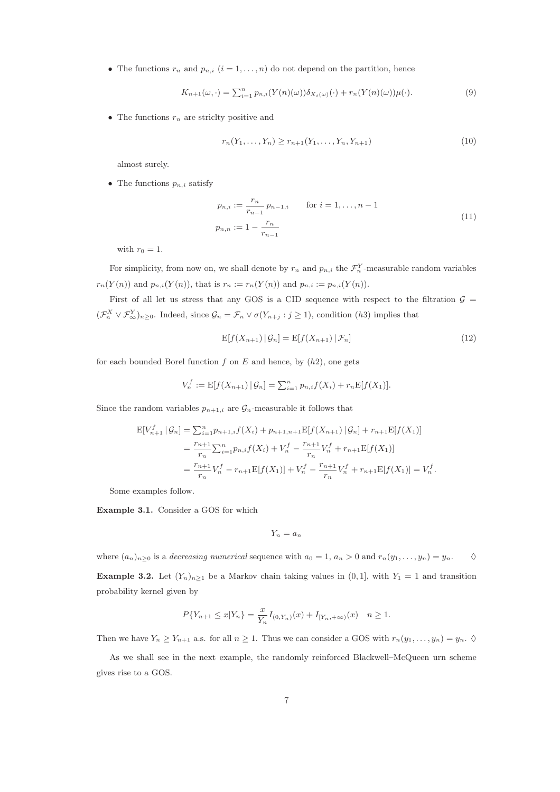• The functions  $r_n$  and  $p_{n,i}$   $(i = 1, \ldots, n)$  do not depend on the partition, hence

$$
K_{n+1}(\omega,\cdot) = \sum_{i=1}^{n} p_{n,i}(Y(n)(\omega))\delta_{X_i(\omega)}(\cdot) + r_n(Y(n)(\omega))\mu(\cdot).
$$
\n(9)

• The functions  $r_n$  are strictly positive and

$$
r_n(Y_1, \ldots, Y_n) \ge r_{n+1}(Y_1, \ldots, Y_n, Y_{n+1})
$$
\n(10)

almost surely.

• The functions  $p_{n,i}$  satisfy

$$
p_{n,i} := \frac{r_n}{r_{n-1}} p_{n-1,i} \qquad \text{for } i = 1, ..., n-1
$$
  

$$
p_{n,n} := 1 - \frac{r_n}{r_{n-1}}
$$
 (11)

with  $r_0 = 1$ .

For simplicity, from now on, we shall denote by  $r_n$  and  $p_{n,i}$  the  $\mathcal{F}_n^Y$ -measurable random variables  $r_n(Y(n))$  and  $p_{n,i}(Y(n))$ , that is  $r_n := r_n(Y(n))$  and  $p_{n,i} := p_{n,i}(Y(n))$ .

First of all let us stress that any GOS is a CID sequence with respect to the filtration  $\mathcal{G}$  =  $(\mathcal{F}_n^X \vee \mathcal{F}_{\infty}^Y)_{n \geq 0}$ . Indeed, since  $\mathcal{G}_n = \mathcal{F}_n \vee \sigma(Y_{n+j} : j \geq 1)$ , condition (h3) implies that

$$
E[f(X_{n+1}) | \mathcal{G}_n] = E[f(X_{n+1}) | \mathcal{F}_n]
$$
\n(12)

for each bounded Borel function  $f$  on  $E$  and hence, by  $(h2)$ , one gets

$$
V_n^f := \mathrm{E}[f(X_{n+1}) | \mathcal{G}_n] = \sum_{i=1}^n p_{n,i} f(X_i) + r_n \mathrm{E}[f(X_1)].
$$

Since the random variables  $p_{n+1,i}$  are  $\mathcal{G}_n$ -measurable it follows that

$$
E[V_{n+1}^f | \mathcal{G}_n] = \sum_{i=1}^n p_{n+1,i} f(X_i) + p_{n+1,n+1} E[f(X_{n+1}) | \mathcal{G}_n] + r_{n+1} E[f(X_1)]
$$
  
= 
$$
\frac{r_{n+1}}{r_n} \sum_{i=1}^n p_{n,i} f(X_i) + V_n^f - \frac{r_{n+1}}{r_n} V_n^f + r_{n+1} E[f(X_1)]
$$
  
= 
$$
\frac{r_{n+1}}{r_n} V_n^f - r_{n+1} E[f(X_1)] + V_n^f - \frac{r_{n+1}}{r_n} V_n^f + r_{n+1} E[f(X_1)] = V_n^f.
$$

Some examples follow.

Example 3.1. Consider a GOS for which

$$
Y_n = a_n
$$

where  $(a_n)_{n\geq 0}$  is a *decreasing numerical* sequence with  $a_0 = 1$ ,  $a_n > 0$  and  $r_n(y_1, \ldots, y_n) = y_n$ .  $\diamond$ **Example 3.2.** Let  $(Y_n)_{n\geq 1}$  be a Markov chain taking values in  $(0, 1]$ , with  $Y_1 = 1$  and transition probability kernel given by

$$
P\{Y_{n+1} \le x | Y_n\} = \frac{x}{Y_n} I_{(0, Y_n)}(x) + I_{[Y_n, +\infty)}(x) \quad n \ge 1.
$$

Then we have  $Y_n \ge Y_{n+1}$  a.s. for all  $n \ge 1$ . Thus we can consider a GOS with  $r_n(y_1, \ldots, y_n) = y_n$ .  $\diamondsuit$ 

As we shall see in the next example, the randomly reinforced Blackwell–McQueen urn scheme gives rise to a GOS.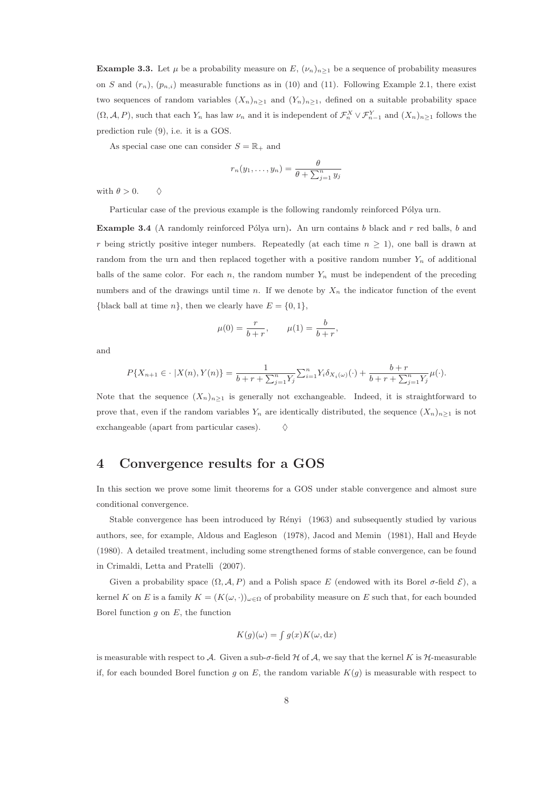**Example 3.3.** Let  $\mu$  be a probability measure on E,  $(\nu_n)_{n\geq 1}$  be a sequence of probability measures on S and  $(r_n)$ ,  $(p_{n,i})$  measurable functions as in (10) and (11). Following Example 2.1, there exist two sequences of random variables  $(X_n)_{n\geq 1}$  and  $(Y_n)_{n\geq 1}$ , defined on a suitable probability space  $(\Omega, \mathcal{A}, P)$ , such that each  $Y_n$  has law  $\nu_n$  and it is independent of  $\mathcal{F}_n^X \vee \mathcal{F}_{n-1}^Y$  and  $(X_n)_{n\geq 1}$  follows the prediction rule (9), i.e. it is a GOS.

As special case one can consider  $S = \mathbb{R}_+$  and

$$
r_n(y_1,\ldots,y_n)=\frac{\theta}{\theta+\sum_{j=1}^n y_j}
$$

with  $\theta > 0$ .  $\diamond$ 

Particular case of the previous example is the following randomly reinforced Pólya urn.

Example 3.4 (A randomly reinforced Pólya urn). An urn contains b black and r red balls, b and r being strictly positive integer numbers. Repeatedly (at each time  $n \geq 1$ ), one ball is drawn at random from the urn and then replaced together with a positive random number  $Y_n$  of additional balls of the same color. For each n, the random number  $Y_n$  must be independent of the preceding numbers and of the drawings until time n. If we denote by  $X_n$  the indicator function of the event {black ball at time n}, then we clearly have  $E = \{0, 1\}$ ,

$$
\mu(0) = \frac{r}{b+r}, \qquad \mu(1) = \frac{b}{b+r},
$$

and

$$
P\{X_{n+1}\in\cdot\;|X(n),Y(n)\}=\frac{1}{b+r+\sum_{j=1}^{n}Y_j}\sum_{i=1}^{n}Y_i\delta_{X_i(\omega)}(\cdot)+\frac{b+r}{b+r+\sum_{j=1}^{n}Y_j}\mu(\cdot).
$$

Note that the sequence  $(X_n)_{n>1}$  is generally not exchangeable. Indeed, it is straightforward to prove that, even if the random variables  $Y_n$  are identically distributed, the sequence  $(X_n)_{n\geq 1}$  is not exchangeable (apart from particular cases).

## 4 Convergence results for a GOS

In this section we prove some limit theorems for a GOS under stable convergence and almost sure conditional convergence.

Stable convergence has been introduced by Rényi (1963) and subsequently studied by various authors, see, for example, Aldous and Eagleson (1978), Jacod and Memin (1981), Hall and Heyde (1980). A detailed treatment, including some strengthened forms of stable convergence, can be found in Crimaldi, Letta and Pratelli (2007).

Given a probability space  $(\Omega, \mathcal{A}, P)$  and a Polish space E (endowed with its Borel  $\sigma$ -field  $\mathcal{E}$ ), a kernel K on E is a family  $K = (K(\omega, \cdot))_{\omega \in \Omega}$  of probability measure on E such that, for each bounded Borel function  $g$  on  $E$ , the function

$$
K(g)(\omega) = \int g(x)K(\omega, dx)
$$

is measurable with respect to A. Given a sub- $\sigma$ -field H of A, we say that the kernel K is H-measurable if, for each bounded Borel function g on E, the random variable  $K(g)$  is measurable with respect to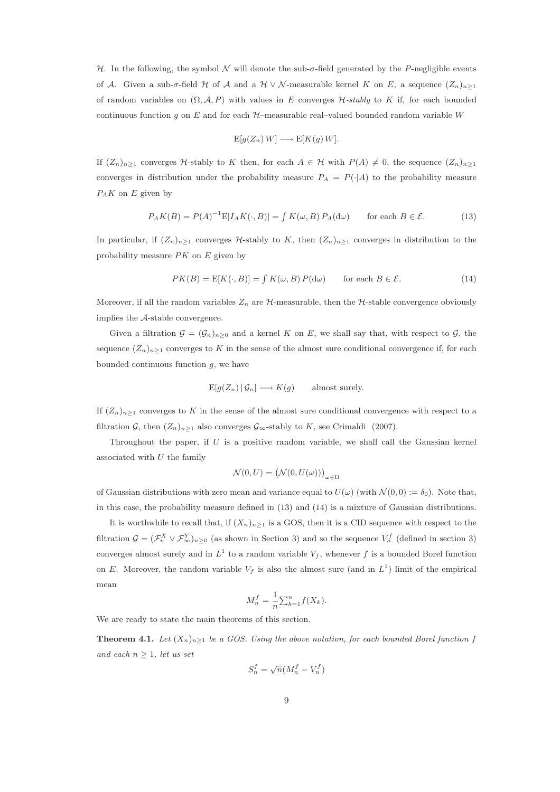H. In the following, the symbol N will denote the sub- $\sigma$ -field generated by the P-negligible events of A. Given a sub- $\sigma$ -field H of A and a H ∨ N-measurable kernel K on E, a sequence  $(Z_n)_{n>1}$ of random variables on  $(\Omega, \mathcal{A}, P)$  with values in E converges H-stably to K if, for each bounded continuous function g on E and for each  $H$ –measurable real–valued bounded random variable W

$$
E[g(Z_n) W] \longrightarrow E[K(g) W].
$$

If  $(Z_n)_{n\geq 1}$  converges H-stably to K then, for each  $A \in \mathcal{H}$  with  $P(A) \neq 0$ , the sequence  $(Z_n)_{n\geq 1}$ converges in distribution under the probability measure  $P_A = P(\cdot|A)$  to the probability measure  $P_A K$  on E given by

$$
P_A K(B) = P(A)^{-1} E[I_A K(\cdot, B)] = \int K(\omega, B) P_A(\mathrm{d}\omega) \quad \text{for each } B \in \mathcal{E}.
$$
 (13)

In particular, if  $(Z_n)_{n\geq 1}$  converges H-stably to K, then  $(Z_n)_{n\geq 1}$  converges in distribution to the probability measure  $PK$  on  $E$  given by

$$
PK(B) = E[K(\cdot, B)] = \int K(\omega, B) P(d\omega) \quad \text{for each } B \in \mathcal{E}.
$$
 (14)

Moreover, if all the random variables  $Z_n$  are  $\mathcal H$ -measurable, then the  $\mathcal H$ -stable convergence obviously implies the A-stable convergence.

Given a filtration  $\mathcal{G} = (\mathcal{G}_n)_{n\geq 0}$  and a kernel K on E, we shall say that, with respect to  $\mathcal{G}$ , the sequence  $(Z_n)_{n\geq 1}$  converges to K in the sense of the almost sure conditional convergence if, for each bounded continuous function  $g$ , we have

$$
E[g(Z_n) | \mathcal{G}_n] \longrightarrow K(g) \quad \text{almost surely.}
$$

If  $(Z_n)_{n\geq 1}$  converges to K in the sense of the almost sure conditional convergence with respect to a filtration G, then  $(Z_n)_{n\geq 1}$  also converges  $\mathcal{G}_{\infty}$ -stably to K, see Crimaldi (2007).

Throughout the paper, if  $U$  is a positive random variable, we shall call the Gaussian kernel associated with  $U$  the family

$$
\mathcal{N}(0, U) = (\mathcal{N}(0, U(\omega)))_{\omega \in \Omega}
$$

of Gaussian distributions with zero mean and variance equal to  $U(\omega)$  (with  $\mathcal{N}(0,0) := \delta_0$ ). Note that, in this case, the probability measure defined in (13) and (14) is a mixture of Gaussian distributions.

It is worthwhile to recall that, if  $(X_n)_{n\geq 1}$  is a GOS, then it is a CID sequence with respect to the filtration  $\mathcal{G} = (\mathcal{F}_n^X \vee \mathcal{F}_{\infty}^Y)_{n \geq 0}$  (as shown in Section 3) and so the sequence  $V_n^f$  (defined in section 3) converges almost surely and in  $L^1$  to a random variable  $V_f$ , whenever f is a bounded Borel function on E. Moreover, the random variable  $V_f$  is also the almost sure (and in  $L^1$ ) limit of the empirical mean

$$
M_n^f = \frac{1}{n} \sum_{k=1}^n f(X_k).
$$

We are ready to state the main theorems of this section.

**Theorem 4.1.** Let  $(X_n)_{n\geq 1}$  be a GOS. Using the above notation, for each bounded Borel function f and each  $n \geq 1$ , let us set

$$
S_n^f = \sqrt{n}(M_n^f - V_n^f)
$$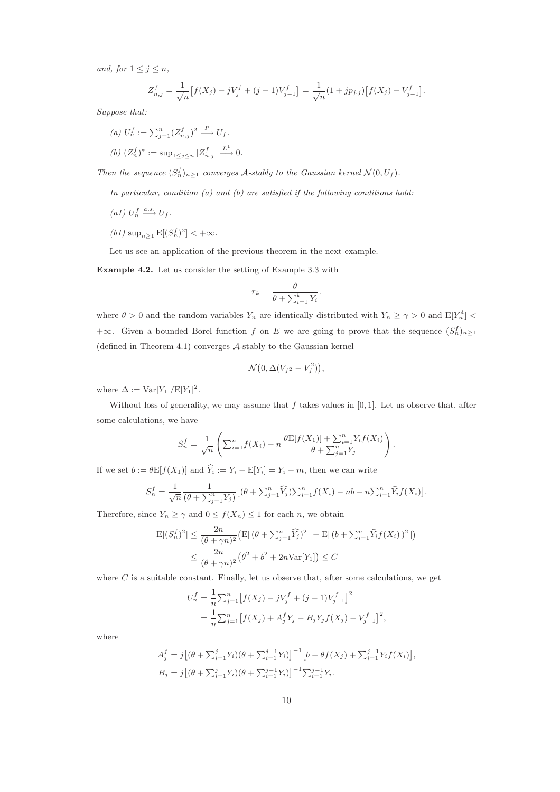and, for  $1 \leq j \leq n$ ,

$$
Z_{n,j}^f = \frac{1}{\sqrt{n}} \left[ f(X_j) - jV_j^f + (j-1)V_{j-1}^f \right] = \frac{1}{\sqrt{n}} (1 + jp_{j,j}) \left[ f(X_j) - V_{j-1}^f \right].
$$

Suppose that:

(a) 
$$
U_n^f := \sum_{j=1}^n (Z_{n,j}^f)^2 \xrightarrow{P} U_f.
$$
  
(b)  $(Z_n^f)^* := \sup_{1 \le j \le n} |Z_{n,j}^f| \xrightarrow{L^1} 0.$ 

Then the sequence  $(S_n^f)_{n\geq 1}$  converges A-stably to the Gaussian kernel  $\mathcal{N}(0, U_f)$ .

In particular, condition  $(a)$  and  $(b)$  are satisfied if the following conditions hold:

- (a1)  $U_n^f \xrightarrow{a.s.} U_f$ .
- (*b*1)  $\sup_{n\geq 1} E[(S_n^f)^2] < +\infty$ .

Let us see an application of the previous theorem in the next example.

Example 4.2. Let us consider the setting of Example 3.3 with

$$
r_k = \frac{\theta}{\theta + \sum_{i=1}^k Y_i}.
$$

where  $\theta > 0$  and the random variables  $Y_n$  are identically distributed with  $Y_n \ge \gamma > 0$  and  $\mathbb{E}[Y_n^4]$ +∞. Given a bounded Borel function f on E we are going to prove that the sequence  $(S_n^f)_{n\geq 1}$ (defined in Theorem 4.1) converges A-stably to the Gaussian kernel

$$
\mathcal{N}\big(0,\Delta(V_{f^2}-V_f^2)\big),\,
$$

where  $\Delta := \text{Var}[Y_1]/E[Y_1]^2$ .

Without loss of generality, we may assume that  $f$  takes values in [0, 1]. Let us observe that, after some calculations, we have

$$
S_n^f = \frac{1}{\sqrt{n}} \left( \sum_{i=1}^n f(X_i) - n \frac{\theta E[f(X_1)] + \sum_{i=1}^n Y_i f(X_i)}{\theta + \sum_{j=1}^n Y_j} \right).
$$

If we set  $b := \theta \mathbb{E}[f(X_1)]$  and  $\hat{Y}_i := Y_i - \mathbb{E}[Y_i] = Y_i - m$ , then we can write

$$
S_n^f = \frac{1}{\sqrt{n}} \frac{1}{(\theta + \sum_{j=1}^n Y_j)} \Big[ (\theta + \sum_{j=1}^n \widehat{Y}_j) \sum_{i=1}^n f(X_i) - nb - n \sum_{i=1}^n \widehat{Y}_i f(X_i) \Big].
$$

Therefore, since  $Y_n \ge \gamma$  and  $0 \le f(X_n) \le 1$  for each n, we obtain

$$
E[(S_n^f)^2] \le \frac{2n}{(\theta + \gamma n)^2} \left( E[(\theta + \sum_{j=1}^n \widehat{Y}_j)^2] + E[(b + \sum_{i=1}^n \widehat{Y}_i f(X_i))^2] \right)
$$
  

$$
\le \frac{2n}{(\theta + \gamma n)^2} (\theta^2 + b^2 + 2n \text{Var}[Y_1]) \le C
$$

where  $C$  is a suitable constant. Finally, let us observe that, after some calculations, we get

$$
U_n^f = \frac{1}{n} \sum_{j=1}^n \left[ f(X_j) - jV_j^f + (j-1)V_{j-1}^f \right]^2
$$
  
= 
$$
\frac{1}{n} \sum_{j=1}^n \left[ f(X_j) + A_j^f Y_j - B_j Y_j f(X_j) - V_{j-1}^f \right]^2,
$$

where

$$
A_j^f = j[(\theta + \sum_{i=1}^j Y_i)(\theta + \sum_{i=1}^{j-1} Y_i)]^{-1} [b - \theta f(X_j) + \sum_{i=1}^{j-1} Y_i f(X_i)],
$$
  
\n
$$
B_j = j[(\theta + \sum_{i=1}^j Y_i)(\theta + \sum_{i=1}^{j-1} Y_i)]^{-1} \sum_{i=1}^{j-1} Y_i.
$$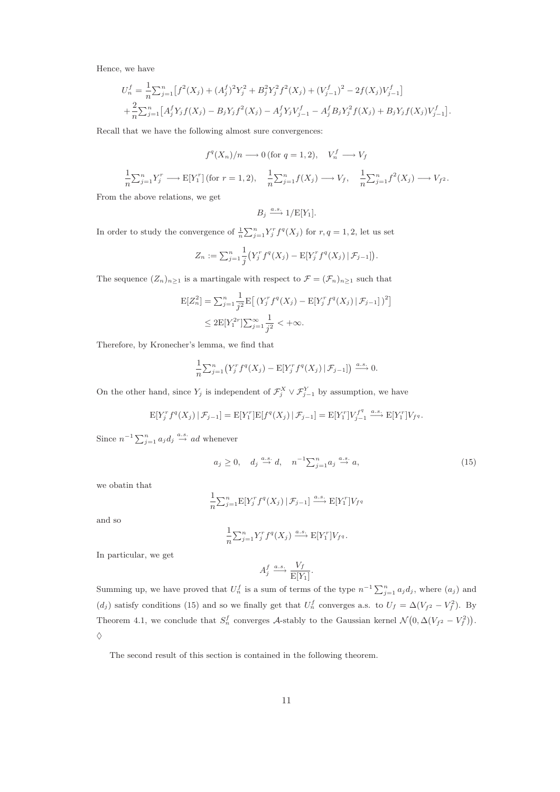Hence, we have

$$
U_n^f = \frac{1}{n} \sum_{j=1}^n \left[ f^2(X_j) + (A_j^f)^2 Y_j^2 + B_j^2 Y_j^2 f^2(X_j) + (V_{j-1}^f)^2 - 2f(X_j) V_{j-1}^f \right] + \frac{2}{n} \sum_{j=1}^n \left[ A_j^f Y_j f(X_j) - B_j Y_j f^2(X_j) - A_j^f Y_j V_{j-1}^f - A_j^f B_j Y_j^2 f(X_j) + B_j Y_j f(X_j) V_{j-1}^f \right].
$$

Recall that we have the following almost sure convergences:

$$
f^q(X_n)/n \longrightarrow 0
$$
 (for  $q = 1, 2$ ),  $V_n^f \longrightarrow V_f$ 

$$
\frac{1}{n}\sum_{j=1}^{n}Y_{j}^{r} \longrightarrow \mathbb{E}[Y_{1}^{r}](\text{for } r=1,2), \quad \frac{1}{n}\sum_{j=1}^{n}f(X_{j}) \longrightarrow V_{f}, \quad \frac{1}{n}\sum_{j=1}^{n}f^{2}(X_{j}) \longrightarrow V_{f^{2}}.
$$

From the above relations, we get

$$
B_j \xrightarrow{a.s.} 1/E[Y_1].
$$

In order to study the convergence of  $\frac{1}{n} \sum_{j=1}^{n} Y_j^r f^q(X_j)$  for  $r, q = 1, 2$ , let us set

$$
Z_n := \sum_{j=1}^n \frac{1}{j} \left( Y_j^r f^q(X_j) - \mathbb{E}[Y_j^r f^q(X_j) | \mathcal{F}_{j-1} \right).
$$

The sequence  $(Z_n)_{n\geq 1}$  is a martingale with respect to  $\mathcal{F} = (\mathcal{F}_n)_{n\geq 1}$  such that

$$
E[Z_n^2] = \sum_{j=1}^n \frac{1}{j^2} E\left[ (Y_j^r f^q(X_j) - E[Y_j^r f^q(X_j) | \mathcal{F}_{j-1}])^2 \right]
$$
  
 
$$
\leq 2E[Y_1^{2r}] \sum_{j=1}^{\infty} \frac{1}{j^2} < +\infty.
$$

Therefore, by Kronecher's lemma, we find that

$$
\frac{1}{n}\sum_{j=1}^n \left(Y_j^r f^q(X_j) - \mathbb{E}[Y_j^r f^q(X_j) | \mathcal{F}_{j-1}]\right) \xrightarrow{a.s.} 0.
$$

On the other hand, since  $Y_j$  is independent of  $\mathcal{F}_j^X \vee \mathcal{F}_{j-1}^Y$  by assumption, we have

$$
E[Y_j^r f^q(X_j) | \mathcal{F}_{j-1}] = E[Y_1^r] E[f^q(X_j) | \mathcal{F}_{j-1}] = E[Y_1^r] V_{j-1}^{f^q} \xrightarrow{a.s.} E[Y_1^r] V_{f^q}.
$$

Since  $n^{-1} \sum_{j=1}^{n} a_j d_j \stackrel{a.s.}{\rightarrow} ad$  whenever

$$
a_j \ge 0, \quad d_j \stackrel{a.s.}{\to} d, \quad n^{-1} \sum_{j=1}^n a_j \stackrel{a.s.}{\to} a,\tag{15}
$$

we obatin that

$$
\frac{1}{n}\sum_{j=1}^{n}E[Y_{j}^{r}f^{q}(X_{j})|\mathcal{F}_{j-1}]\xrightarrow{a.s.}E[Y_{1}^{r}]V_{f}^{q}
$$

and so

$$
\frac{1}{n} \sum_{j=1}^n Y_j^r f^q(X_j) \xrightarrow{a.s.} E[Y_1^r] V_{f^q}.
$$

In particular, we get

$$
A_j^f \xrightarrow{a.s.} \frac{V_f}{\mathbb{E}[Y_1]}.
$$

Summing up, we have proved that  $U_n^f$  is a sum of terms of the type  $n^{-1} \sum_{j=1}^n a_j d_j$ , where  $(a_j)$  and  $(d_j)$  satisfy conditions (15) and so we finally get that  $U_n^f$  converges a.s. to  $U_f = \Delta(V_{f^2} - V_f^2)$ . By Theorem 4.1, we conclude that  $S_n^f$  converges A-stably to the Gaussian kernel  $\mathcal{N}(0, \Delta(V_{f^2} - V_f^2)).$  $\Diamond$ 

The second result of this section is contained in the following theorem.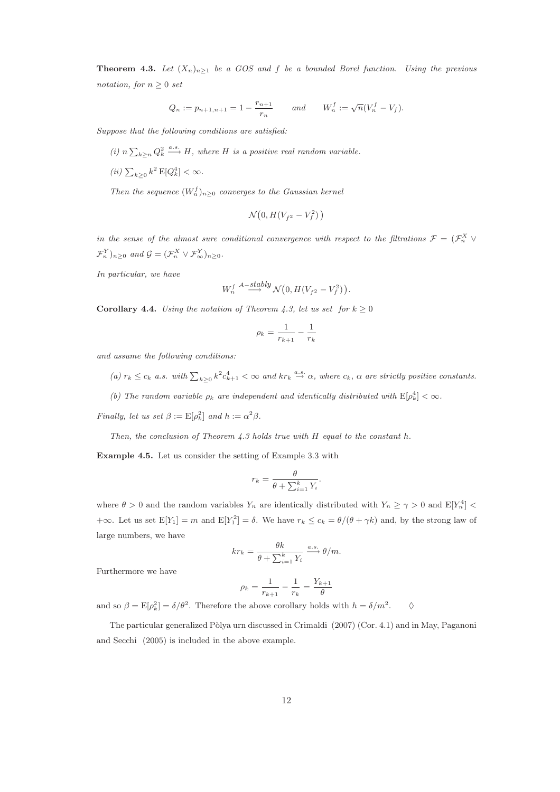**Theorem 4.3.** Let  $(X_n)_{n\geq 1}$  be a GOS and f be a bounded Borel function. Using the previous notation, for  $n \geq 0$  set

$$
Q_n := p_{n+1,n+1} = 1 - \frac{r_{n+1}}{r_n}
$$
 and  $W_n^f := \sqrt{n}(V_n^f - V_f).$ 

Suppose that the following conditions are satisfied:

(i)  $n \sum_{k \geq n} Q_k^2 \stackrel{a.s.}{\longrightarrow} H$ , where H is a positive real random variable.

(*ii*)  $\sum_{k\geq 0} k^2 \mathbb{E}[Q_k^4] < \infty$ .

Then the sequence  $(W_n^f)_{n\geq 0}$  converges to the Gaussian kernel

$$
\mathcal{N}\big(0, H(V_{f^2}-V_f^2)\,\big)
$$

in the sense of the almost sure conditional convergence with respect to the filtrations  $\mathcal{F} = (\mathcal{F}_n^X \vee$  $\mathcal{F}_n^Y|_{n\geq 0}$  and  $\mathcal{G} = (\mathcal{F}_n^X \vee \mathcal{F}_{\infty}^Y)_{n\geq 0}$ .

In particular, we have

$$
W_n^f \stackrel{\mathcal{A}-stably}{\longrightarrow} \mathcal{N}\big(0, H(V_{f^2} - V_f^2)\big).
$$

**Corollary 4.4.** Using the notation of Theorem 4.3, let us set for  $k \ge 0$ 

$$
\rho_k = \frac{1}{r_{k+1}} - \frac{1}{r_k}
$$

and assume the following conditions:

- (a)  $r_k \leq c_k$  a.s. with  $\sum_{k\geq 0} k^2 c_{k+1}^4 < \infty$  and  $kr_k \stackrel{a.s.}{\rightarrow} \alpha$ , where  $c_k$ ,  $\alpha$  are strictly positive constants.
- (b) The random variable  $\rho_k$  are independent and identically distributed with  $E[\rho_k^4] < \infty$ .

Finally, let us set  $\beta := \mathbb{E}[\rho_k^2]$  and  $h := \alpha^2 \beta$ .

Then, the conclusion of Theorem 4.3 holds true with H equal to the constant h.

Example 4.5. Let us consider the setting of Example 3.3 with

$$
r_k = \frac{\theta}{\theta + \sum_{i=1}^k Y_i}.
$$

where  $\theta > 0$  and the random variables  $Y_n$  are identically distributed with  $Y_n \ge \gamma > 0$  and  $\mathbb{E}[Y_n^4]$  $+\infty$ . Let us set  $E[Y_1] = m$  and  $E[Y_1^2] = \delta$ . We have  $r_k \le c_k = \theta/(\theta + \gamma k)$  and, by the strong law of large numbers, we have

$$
kr_k = \frac{\theta k}{\theta + \sum_{i=1}^k Y_i} \xrightarrow{a.s.} \theta/m.
$$

Furthermore we have

$$
\rho_k = \frac{1}{r_{k+1}} - \frac{1}{r_k} = \frac{Y_{k+1}}{\theta}
$$

and so  $\beta = \mathbb{E}[\rho_k^2] = \delta/\theta^2$ . Therefore the above corollary holds with  $h = \delta/m^2$  $\Diamond$ 

The particular generalized Pòlya urn discussed in Crimaldi (2007) (Cor. 4.1) and in May, Paganoni and Secchi (2005) is included in the above example.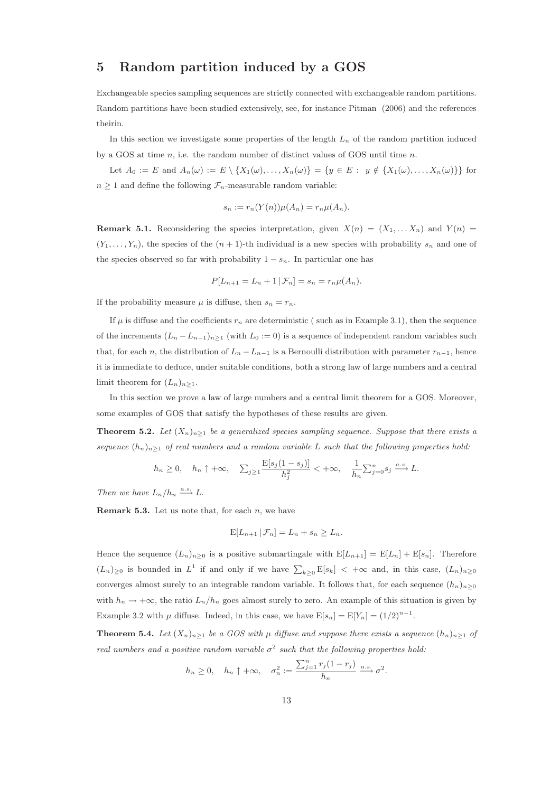## 5 Random partition induced by a GOS

Exchangeable species sampling sequences are strictly connected with exchangeable random partitions. Random partitions have been studied extensively, see, for instance Pitman (2006) and the references theirin.

In this section we investigate some properties of the length  $L_n$  of the random partition induced by a GOS at time  $n$ , i.e. the random number of distinct values of GOS until time  $n$ .

Let  $A_0 := E$  and  $A_n(\omega) := E \setminus \{X_1(\omega), \ldots, X_n(\omega)\} = \{y \in E : y \notin \{X_1(\omega), \ldots, X_n(\omega)\}\}\$ for  $n \geq 1$  and define the following  $\mathcal{F}_n$ -measurable random variable:

$$
s_n := r_n(Y(n))\mu(A_n) = r_n\mu(A_n).
$$

**Remark 5.1.** Reconsidering the species interpretation, given  $X(n) = (X_1, \ldots, X_n)$  and  $Y(n) =$  $(Y_1, \ldots, Y_n)$ , the species of the  $(n + 1)$ -th individual is a new species with probability  $s_n$  and one of the species observed so far with probability  $1 - s_n$ . In particular one has

$$
P[L_{n+1} = L_n + 1 | \mathcal{F}_n] = s_n = r_n \mu(A_n).
$$

If the probability measure  $\mu$  is diffuse, then  $s_n = r_n$ .

If  $\mu$  is diffuse and the coefficients  $r_n$  are deterministic ( such as in Example 3.1), then the sequence of the increments  $(L_n - L_{n-1})_{n \geq 1}$  (with  $L_0 := 0$ ) is a sequence of independent random variables such that, for each n, the distribution of  $L_n - L_{n-1}$  is a Bernoulli distribution with parameter  $r_{n-1}$ , hence it is immediate to deduce, under suitable conditions, both a strong law of large numbers and a central limit theorem for  $(L_n)_{n\geq 1}$ .

In this section we prove a law of large numbers and a central limit theorem for a GOS. Moreover, some examples of GOS that satisfy the hypotheses of these results are given.

**Theorem 5.2.** Let  $(X_n)_{n>1}$  be a generalized species sampling sequence. Suppose that there exists a sequence  $(h_n)_{n\geq 1}$  of real numbers and a random variable L such that the following properties hold:

$$
h_n \ge 0, \quad h_n \uparrow +\infty, \quad \sum_{j\ge 1} \frac{\mathbb{E}[s_j(1-s_j)]}{h_j^2} < +\infty, \quad \frac{1}{h_n} \sum_{j=0}^n s_j \xrightarrow{a.s.} L.
$$

Then we have  $L_n/h_n \xrightarrow{a.s.} L$ .

**Remark 5.3.** Let us note that, for each  $n$ , we have

$$
E[L_{n+1} | \mathcal{F}_n] = L_n + s_n \ge L_n.
$$

Hence the sequence  $(L_n)_{n>0}$  is a positive submartingale with  $E[L_{n+1}] = E[L_n] + E[s_n]$ . Therefore  $(L_n)_{\geq 0}$  is bounded in  $L^1$  if and only if we have  $\sum_{k\geq 0} \mathbb{E}[s_k] < +\infty$  and, in this case,  $(L_n)_{n\geq 0}$ converges almost surely to an integrable random variable. It follows that, for each sequence  $(h_n)_{n>0}$ with  $h_n \to +\infty$ , the ratio  $L_n/h_n$  goes almost surely to zero. An example of this situation is given by Example 3.2 with  $\mu$  diffuse. Indeed, in this case, we have  $E[s_n] = E[Y_n] = (1/2)^{n-1}$ .

**Theorem 5.4.** Let  $(X_n)_{n\geq 1}$  be a GOS with  $\mu$  diffuse and suppose there exists a sequence  $(h_n)_{n\geq 1}$  of real numbers and a positive random variable  $\sigma^2$  such that the following properties hold:

$$
h_n \geq 0
$$
,  $h_n \uparrow +\infty$ ,  $\sigma_n^2 := \frac{\sum_{j=1}^n r_j (1-r_j)}{h_n} \xrightarrow{a.s.} \sigma^2$ .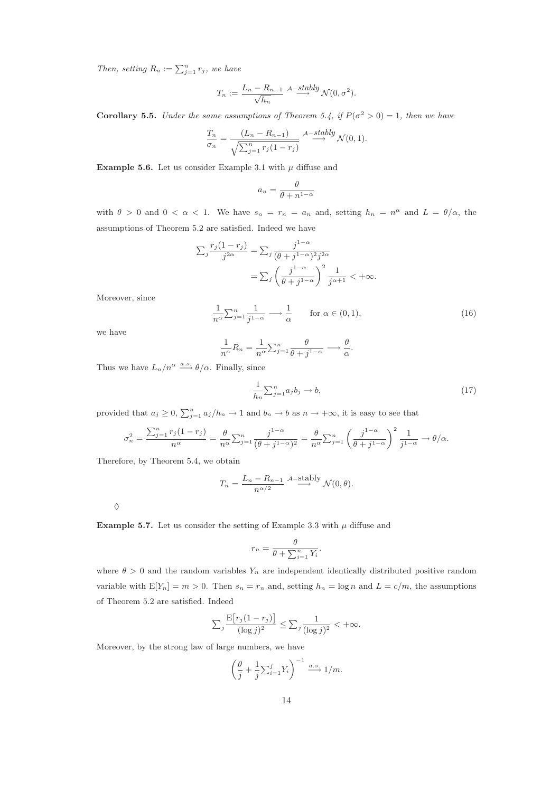Then, setting  $R_n := \sum_{j=1}^n r_j$ , we have

$$
T_n := \frac{L_n - R_{n-1}}{\sqrt{h_n}} \xrightarrow{A-stably} \mathcal{N}(0, \sigma^2).
$$

**Corollary 5.5.** Under the same assumptions of Theorem 5.4, if  $P(\sigma^2 > 0) = 1$ , then we have

$$
\frac{T_n}{\sigma_n} = \frac{(L_n - R_{n-1})}{\sqrt{\sum_{j=1}^n r_j (1 - r_j)}} \xrightarrow{A - stably} \mathcal{N}(0, 1).
$$

Example 5.6. Let us consider Example 3.1 with  $\mu$  diffuse and

$$
a_n = \frac{\theta}{\theta + n^{1-\alpha}}
$$

with  $\theta > 0$  and  $0 < \alpha < 1$ . We have  $s_n = r_n = a_n$  and, setting  $h_n = n^{\alpha}$  and  $L = \theta/\alpha$ , the assumptions of Theorem 5.2 are satisfied. Indeed we have

$$
\sum_{j} \frac{r_j (1 - r_j)}{j^{2\alpha}} = \sum_{j} \frac{j^{1-\alpha}}{(\theta + j^{1-\alpha})^2 j^{2\alpha}}
$$

$$
= \sum_{j} \left(\frac{j^{1-\alpha}}{\theta + j^{1-\alpha}}\right)^2 \frac{1}{j^{\alpha+1}} < +\infty.
$$

Moreover, since

$$
\frac{1}{n^{\alpha}} \sum_{j=1}^{n} \frac{1}{j^{1-\alpha}} \longrightarrow \frac{1}{\alpha} \quad \text{for } \alpha \in (0,1),
$$
 (16)

.

we have

$$
\frac{1}{n^{\alpha}}R_n = \frac{1}{n^{\alpha}} \sum_{j=1}^n \frac{\theta}{\theta + j^{1-\alpha}} \longrightarrow \frac{\theta}{\alpha}
$$

Thus we have  $L_n/n^{\alpha} \stackrel{a.s.}{\longrightarrow} \theta/\alpha$ . Finally, since

$$
\frac{1}{h_n} \sum_{j=1}^n a_j b_j \to b,\tag{17}
$$

provided that  $a_j \geq 0$ ,  $\sum_{j=1}^n a_j/h_n \to 1$  and  $b_n \to b$  as  $n \to +\infty$ , it is easy to see that

$$
\sigma_n^2 = \frac{\sum_{j=1}^n r_j (1-r_j)}{n^{\alpha}} = \frac{\theta}{n^{\alpha}} \sum_{j=1}^n \frac{j^{1-\alpha}}{(\theta+j^{1-\alpha})^2} = \frac{\theta}{n^{\alpha}} \sum_{j=1}^n \left(\frac{j^{1-\alpha}}{\theta+j^{1-\alpha}}\right)^2 \frac{1}{j^{1-\alpha}} \to \theta/\alpha.
$$

Therefore, by Theorem 5.4, we obtain

$$
T_n = \frac{L_n - R_{n-1}}{n^{\alpha/2}} \xrightarrow{A-\text{stably}} \mathcal{N}(0, \theta).
$$

**Example 5.7.** Let us consider the setting of Example 3.3 with  $\mu$  diffuse and

$$
r_n = \frac{\theta}{\theta + \sum_{i=1}^n Y_i}.
$$

where  $\theta > 0$  and the random variables  $Y_n$  are independent identically distributed positive random variable with  $E[Y_n] = m > 0$ . Then  $s_n = r_n$  and, setting  $h_n = \log n$  and  $L = c/m$ , the assumptions of Theorem 5.2 are satisfied. Indeed

$$
\sum_{j} \frac{\mathrm{E}\big[r_j(1-r_j)\big]}{(\log j)^2} \le \sum_{j} \frac{1}{(\log j)^2} < +\infty.
$$

Moreover, by the strong law of large numbers, we have

$$
\left(\frac{\theta}{j} + \frac{1}{j} \sum_{i=1}^j Y_i\right)^{-1} \xrightarrow{a.s.} 1/m.
$$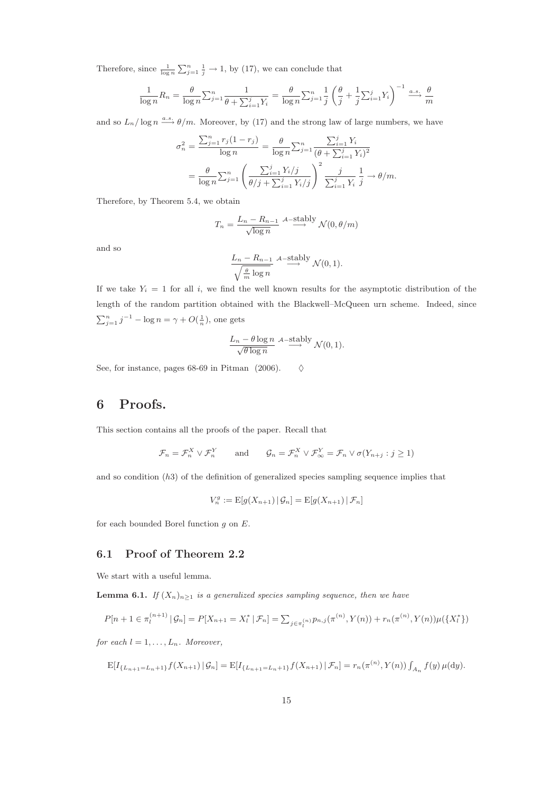Therefore, since  $\frac{1}{\log n} \sum_{j=1}^n \frac{1}{j} \to 1$ , by (17), we can conclude that

$$
\frac{1}{\log n}R_n = \frac{\theta}{\log n} \sum_{j=1}^n \frac{1}{\theta + \sum_{i=1}^j Y_i} = \frac{\theta}{\log n} \sum_{j=1}^n \frac{1}{j} \left(\frac{\theta}{j} + \frac{1}{j} \sum_{i=1}^j Y_i\right)^{-1} \xrightarrow{a.s.} \frac{\theta}{m}
$$

and so  $L_n/\log n \stackrel{a.s.}{\longrightarrow} \theta/m$ . Moreover, by (17) and the strong law of large numbers, we have

$$
\sigma_n^2 = \frac{\sum_{j=1}^n r_j (1 - r_j)}{\log n} = \frac{\theta}{\log n} \sum_{j=1}^n \frac{\sum_{i=1}^j Y_i}{(\theta + \sum_{i=1}^j Y_i)^2}
$$

$$
= \frac{\theta}{\log n} \sum_{j=1}^n \left( \frac{\sum_{i=1}^j Y_i/j}{\theta/j + \sum_{i=1}^j Y_i/j} \right)^2 \frac{j}{\sum_{i=1}^j Y_i} \frac{1}{j} \to \theta/m.
$$

Therefore, by Theorem 5.4, we obtain

$$
T_n = \frac{L_n - R_{n-1}}{\sqrt{\log n}} \xrightarrow{A-\text{stably}} \mathcal{N}(0, \theta/m)
$$

and so

$$
\frac{L_n - R_{n-1}}{\sqrt{\frac{\theta}{m} \log n}} \xrightarrow{A-\text{stably}} \mathcal{N}(0, 1).
$$

If we take  $Y_i = 1$  for all i, we find the well known results for the asymptotic distribution of the length of the random partition obtained with the Blackwell–McQueen urn scheme. Indeed, since  $\sum_{j=1}^{n} j^{-1} - \log n = \gamma + O(\frac{1}{n}),$  one gets

$$
\frac{L_n - \theta \log n}{\sqrt{\theta \log n}} \xrightarrow{A-\text{stably}} \mathcal{N}(0,1).
$$

See, for instance, pages 68-69 in Pitman (2006).  $\Diamond$ 

### 6 Proofs.

This section contains all the proofs of the paper. Recall that

$$
\mathcal{F}_n = \mathcal{F}_n^X \vee \mathcal{F}_n^Y
$$
 and  $\mathcal{G}_n = \mathcal{F}_n^X \vee \mathcal{F}_\infty^Y = \mathcal{F}_n \vee \sigma(Y_{n+j} : j \ge 1)$ 

and so condition  $(h3)$  of the definition of generalized species sampling sequence implies that

$$
V_n^g := \mathrm{E}[g(X_{n+1}) | \mathcal{G}_n] = \mathrm{E}[g(X_{n+1}) | \mathcal{F}_n]
$$

for each bounded Borel function g on E.

### 6.1 Proof of Theorem 2.2

We start with a useful lemma.

**Lemma 6.1.** If  $(X_n)_{n\geq 1}$  is a generalized species sampling sequence, then we have

$$
P[n+1 \in \pi_l^{(n+1)} | \mathcal{G}_n] = P[X_{n+1} = X_l^* | \mathcal{F}_n] = \sum_{j \in \pi_l^{(n)}} p_{n,j}(\pi^{(n)}, Y(n)) + r_n(\pi^{(n)}, Y(n)) \mu(\{X_l^*\})
$$

for each  $l = 1, \ldots, L_n$ . Moreover,

$$
\mathbb{E}[I_{\{L_{n+1}=L_n+1\}}f(X_{n+1})| \mathcal{G}_n] = \mathbb{E}[I_{\{L_{n+1}=L_n+1\}}f(X_{n+1})| \mathcal{F}_n] = r_n(\pi^{(n)}, Y(n)) \int_{A_n} f(y) \,\mu(\mathrm{d}y).
$$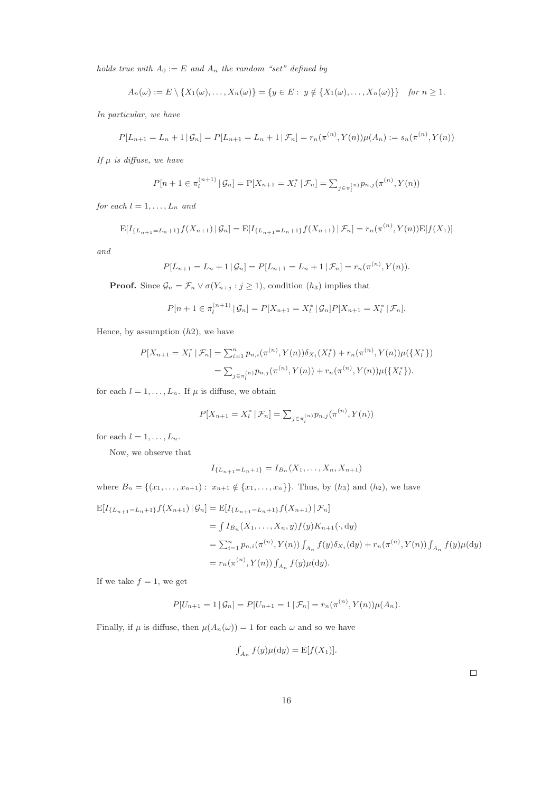holds true with  $A_0 := E$  and  $A_n$  the random "set" defined by

$$
A_n(\omega) := E \setminus \{X_1(\omega), \ldots, X_n(\omega)\} = \{y \in E : y \notin \{X_1(\omega), \ldots, X_n(\omega)\}\} \text{ for } n \geq 1.
$$

In particular, we have

$$
P[L_{n+1} = L_n + 1 | \mathcal{G}_n] = P[L_{n+1} = L_n + 1 | \mathcal{F}_n] = r_n(\pi^{(n)}, Y(n))\mu(A_n) := s_n(\pi^{(n)}, Y(n))
$$

If  $\mu$  is diffuse, we have

$$
P[n+1 \in \pi_l^{(n+1)} | \mathcal{G}_n] = P[X_{n+1} = X_l^* | \mathcal{F}_n] = \sum_{j \in \pi_l^{(n)}} p_{n,j}(\pi^{(n)}, Y(n))
$$

for each  $l = 1, \ldots, L_n$  and

$$
E[I_{\{L_{n+1}=L_n+1\}}f(X_{n+1}) | \mathcal{G}_n] = E[I_{\{L_{n+1}=L_n+1\}}f(X_{n+1}) | \mathcal{F}_n] = r_n(\pi^{(n)}, Y(n))E[f(X_1)]
$$

and

$$
P[L_{n+1} = L_n + 1 | \mathcal{G}_n] = P[L_{n+1} = L_n + 1 | \mathcal{F}_n] = r_n(\pi^{(n)}, Y(n)).
$$

**Proof.** Since  $\mathcal{G}_n = \mathcal{F}_n \vee \sigma(Y_{n+j} : j \geq 1)$ , condition  $(h_3)$  implies that

$$
P[n+1 \in \pi_l^{(n+1)} | \mathcal{G}_n] = P[X_{n+1} = X_l^* | \mathcal{G}_n] P[X_{n+1} = X_l^* | \mathcal{F}_n].
$$

Hence, by assumption  $(h2)$ , we have

$$
P[X_{n+1} = X_l^* | \mathcal{F}_n] = \sum_{i=1}^n p_{n,i}(\pi^{(n)}, Y(n)) \delta_{X_i}(X_l^*) + r_n(\pi^{(n)}, Y(n)) \mu(\{X_l^*\})
$$
  
= 
$$
\sum_{j \in \pi_l^{(n)}} p_{n,j}(\pi^{(n)}, Y(n)) + r_n(\pi^{(n)}, Y(n)) \mu(\{X_l^*\}).
$$

for each  $l = 1, \ldots, L_n$ . If  $\mu$  is diffuse, we obtain

$$
P[X_{n+1} = X_i^* | \mathcal{F}_n] = \sum_{j \in \pi_l^{(n)}} p_{n,j}(\pi^{(n)}, Y(n))
$$

for each  $l = 1, \ldots, L_n$ .

Now, we observe that

$$
I_{\{L_{n+1}=L_n+1\}} = I_{B_n}(X_1,\ldots,X_n,X_{n+1})
$$

where  $B_n = \{(x_1, \ldots, x_{n+1}) : x_{n+1} \notin \{x_1, \ldots, x_n\}\}\.$  Thus, by  $(h_3)$  and  $(h_2)$ , we have

$$
E[I_{\{L_{n+1}=L_{n}+1\}}f(X_{n+1}) | \mathcal{G}_n] = E[I_{\{L_{n+1}=L_{n}+1\}}f(X_{n+1}) | \mathcal{F}_n]
$$
  
\n
$$
= \int I_{B_n}(X_1, ..., X_n, y) f(y) K_{n+1}(\cdot, dy)
$$
  
\n
$$
= \sum_{i=1}^n p_{n,i}(\pi^{(n)}, Y(n)) \int_{A_n} f(y) \delta_{X_i}(dy) + r_n(\pi^{(n)}, Y(n)) \int_{A_n} f(y) \mu(dy)
$$
  
\n
$$
= r_n(\pi^{(n)}, Y(n)) \int_{A_n} f(y) \mu(dy).
$$

If we take  $f = 1$ , we get

$$
P[U_{n+1} = 1 | \mathcal{G}_n] = P[U_{n+1} = 1 | \mathcal{F}_n] = r_n(\pi^{(n)}, Y(n))\mu(A_n).
$$

Finally, if  $\mu$  is diffuse, then  $\mu(A_n(\omega)) = 1$  for each  $\omega$  and so we have

$$
\int_{A_n} f(y) \mu(dy) = \mathbb{E}[f(X_1)].
$$

 $\Box$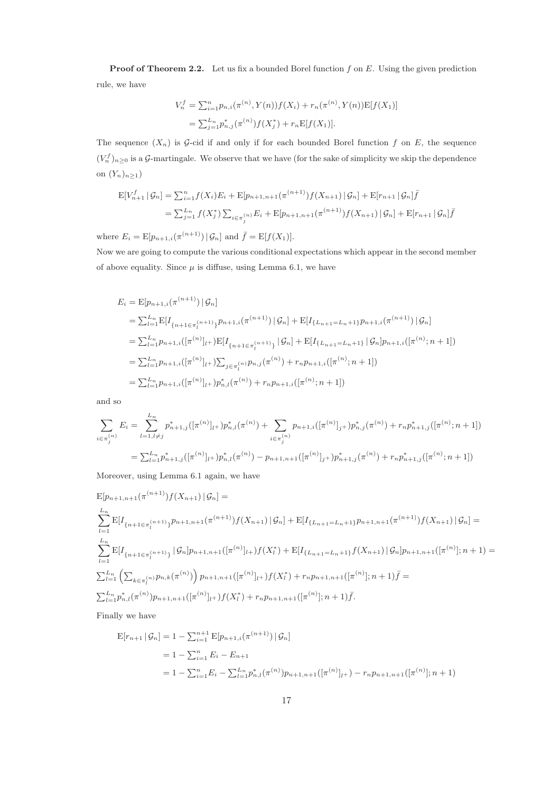**Proof of Theorem 2.2.** Let us fix a bounded Borel function  $f$  on  $E$ . Using the given prediction rule, we have

$$
V_n^f = \sum_{i=1}^n p_{n,i}(\pi^{(n)}, Y(n)) f(X_i) + r_n(\pi^{(n)}, Y(n)) \mathbb{E}[f(X_1)]
$$
  
= 
$$
\sum_{j=1}^{L_n} p_{n,j}^*(\pi^{(n)}) f(X_j^*) + r_n \mathbb{E}[f(X_1)].
$$

The sequence  $(X_n)$  is G-cid if and only if for each bounded Borel function f on E, the sequence  $(V_n^f)_{n\geq 0}$  is a G-martingale. We observe that we have (for the sake of simplicity we skip the dependence on  $(Y_n)_{n\geq 1}$ )

$$
E[V_{n+1}^f | \mathcal{G}_n] = \sum_{i=1}^n f(X_i) E_i + E[p_{n+1,n+1}(\pi^{(n+1)}) f(X_{n+1}) | \mathcal{G}_n] + E[r_{n+1} | \mathcal{G}_n] \bar{f}
$$
  
=  $\sum_{j=1}^{L_n} f(X_j^*) \sum_{i \in \pi_j^{(n)}} E_i + E[p_{n+1,n+1}(\pi^{(n+1)}) f(X_{n+1}) | \mathcal{G}_n] + E[r_{n+1} | \mathcal{G}_n] \bar{f}$ 

where  $E_i = \mathbb{E}[p_{n+1,i}(\pi^{(n+1)}) | \mathcal{G}_n]$  and  $\bar{f} = \mathbb{E}[f(X_1)].$ 

Now we are going to compute the various conditional expectations which appear in the second member of above equality. Since  $\mu$  is diffuse, using Lemma 6.1, we have

$$
E_{i} = \mathbb{E}[p_{n+1,i}(\pi^{(n+1)}) | \mathcal{G}_{n}]
$$
  
\n
$$
= \sum_{l=1}^{L_{n}} \mathbb{E}[I_{\{n+1 \in \pi_{l}^{(n+1)}\}} p_{n+1,i}(\pi^{(n+1)}) | \mathcal{G}_{n}] + \mathbb{E}[I_{\{L_{n+1}=L_{n}+1\}} p_{n+1,i}(\pi^{(n+1)}) | \mathcal{G}_{n}]
$$
  
\n
$$
= \sum_{l=1}^{L_{n}} p_{n+1,i}([\pi^{(n)}]_{l+}) \mathbb{E}[I_{\{n+1 \in \pi_{l}^{(n+1)}\}} | \mathcal{G}_{n}] + \mathbb{E}[I_{\{L_{n+1}=L_{n}+1\}} | \mathcal{G}_{n}] p_{n+1,i}([\pi^{(n)}; n+1])
$$
  
\n
$$
= \sum_{l=1}^{L_{n}} p_{n+1,i}([\pi^{(n)}]_{l+}) \sum_{j \in \pi_{l}^{(n)}} p_{n,j}(\pi^{(n)}) + r_{n} p_{n+1,i}([\pi^{(n)}; n+1])
$$
  
\n
$$
= \sum_{l=1}^{L_{n}} p_{n+1,i}([\pi^{(n)}]_{l+}) p_{n,l}^{*}(\pi^{(n)}) + r_{n} p_{n+1,i}([\pi^{(n)}; n+1])
$$

and so

$$
\sum_{i \in \pi_j^{(n)}} E_i = \sum_{l=1, l \neq j}^{L_n} p_{n+1,j}^*([\pi^{(n)}]_{l+}) p_{n,l}^*(\pi^{(n)}) + \sum_{i \in \pi_j^{(n)}} p_{n+1,i}([\pi^{(n)}]_{j+}) p_{n,j}^*(\pi^{(n)}) + r_n p_{n+1,j}^*([\pi^{(n)}; n+1])
$$
  
=  $\sum_{l=1}^{L_n} p_{n+1,j}^*([\pi^{(n)}]_{l+}) p_{n,l}^*(\pi^{(n)}) - p_{n+1,n+1}([\pi^{(n)}]_{j+}) p_{n+1,j}^*(\pi^{(n)}) + r_n p_{n+1,j}^*([\pi^{(n)}; n+1])$ 

Moreover, using Lemma 6.1 again, we have

$$
E[p_{n+1,n+1}(\pi^{(n+1)})f(X_{n+1})|G_n] =
$$
\n
$$
\sum_{l=1}^{L_n} E[I_{\{n+1 \in \pi_l^{(n+1)}\}} p_{n+1,n+1}(\pi^{(n+1)})f(X_{n+1})|G_n] + E[I_{\{L_{n+1} = L_n + 1\}} p_{n+1,n+1}(\pi^{(n+1)})f(X_{n+1})|G_n] =
$$
\n
$$
\sum_{l=1}^{L_n} E[I_{\{n+1 \in \pi_l^{(n+1)}\}}|G_n] p_{n+1,n+1}([\pi^{(n)}]_{l+})f(X_l^*) + E[I_{\{L_{n+1} = L_n + 1\}} f(X_{n+1})|G_n] p_{n+1,n+1}([\pi^{(n)}]; n+1) =
$$
\n
$$
\sum_{l=1}^{L_n} \left( \sum_{k \in \pi_l^{(n)}} p_{n,k}(\pi^{(n)}) \right) p_{n+1,n+1}([\pi^{(n)}]_{l+})f(X_l^*) + r_n p_{n+1,n+1}([\pi^{(n)}]; n+1) \bar{f} =
$$
\n
$$
\sum_{l=1}^{L_n} p_{n,l}^*(\pi^{(n)}) p_{n+1,n+1}([\pi^{(n)}]_{l+})f(X_l^*) + r_n p_{n+1,n+1}([\pi^{(n)}]; n+1) \bar{f}.
$$

Finally we have

$$
E[r_{n+1} | \mathcal{G}_n] = 1 - \sum_{i=1}^{n+1} E[p_{n+1,i}(\pi^{(n+1)}) | \mathcal{G}_n]
$$
  
=  $1 - \sum_{i=1}^{n} E_i - E_{n+1}$   
=  $1 - \sum_{i=1}^{n} E_i - \sum_{l=1}^{L_n} p_{n,l}^*(\pi^{(n)}) p_{n+1,n+1}([\pi^{(n)}]_{l+}) - r_n p_{n+1,n+1}([\pi^{(n)}]; n+1)$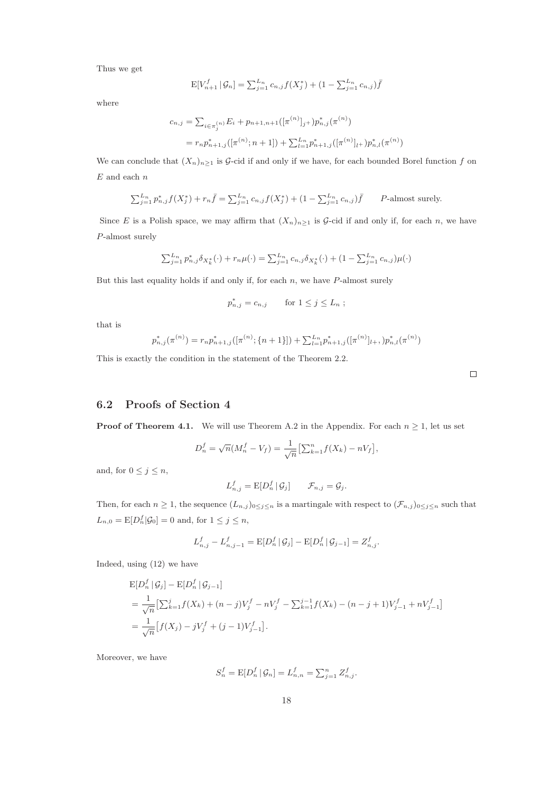Thus we get

$$
E[V_{n+1}^f | \mathcal{G}_n] = \sum_{j=1}^{L_n} c_{n,j} f(X_j^*) + (1 - \sum_{j=1}^{L_n} c_{n,j}) \bar{f}
$$

where

$$
c_{n,j} = \sum_{i \in \pi_j^{(n)}} E_i + p_{n+1,n+1}([\pi^{(n)}]_{j+}) p_{n,j}^*(\pi^{(n)})
$$
  
=  $r_n p_{n+1,j}^*([\pi^{(n)}; n+1]) + \sum_{l=1}^{L_n} p_{n+1,j}^*([\pi^{(n)}]_{l+}) p_{n,l}^*(\pi^{(n)})$ 

We can conclude that  $(X_n)_{n\geq 1}$  is  $\mathcal{G}\text{-cid if}$  and only if we have, for each bounded Borel function f on  ${\cal E}$  and each  $n$ 

$$
\sum_{j=1}^{L_n} p_{n,j}^* f(X_j^*) + r_n \bar{f} = \sum_{j=1}^{L_n} c_{n,j} f(X_j^*) + (1 - \sum_{j=1}^{L_n} c_{n,j}) \bar{f}
$$
 P-almost surely.

Since E is a Polish space, we may affirm that  $(X_n)_{n\geq 1}$  is  $\mathcal G$ -cid if and only if, for each n, we have P-almost surely

$$
\sum_{j=1}^{L_n} p_{n,j}^* \delta_{X_k^*}(\cdot) + r_n \mu(\cdot) = \sum_{j=1}^{L_n} c_{n,j} \delta_{X_k^*}(\cdot) + (1 - \sum_{j=1}^{L_n} c_{n,j}) \mu(\cdot)
$$

But this last equality holds if and only if, for each  $n$ , we have  $P$ -almost surely

$$
p_{n,j}^* = c_{n,j} \qquad \text{for } 1 \le j \le L_n ;
$$

that is

$$
p_{n,j}^*(\pi^{(n)}) = r_n p_{n+1,j}^*([\pi^{(n)}; \{n+1\}]) + \sum_{l=1}^{L_n} p_{n+1,j}^*([\pi^{(n)}]_{l+1}, p_{n,l}^*(\pi^{(n)})
$$

This is exactly the condition in the statement of the Theorem 2.2.

 $\Box$ 

#### 6.2 Proofs of Section 4

**Proof of Theorem 4.1.** We will use Theorem A.2 in the Appendix. For each  $n \geq 1$ , let us set

$$
D_n^f = \sqrt{n}(M_n^f - V_f) = \frac{1}{\sqrt{n}} \left[ \sum_{k=1}^n f(X_k) - nV_f \right],
$$

and, for  $0 \leq j \leq n$ ,

$$
L_{n,j}^f = \mathrm{E}[D_n^f \,|\, \mathcal{G}_j] \qquad \mathcal{F}_{n,j} = \mathcal{G}_j.
$$

Then, for each  $n \geq 1$ , the sequence  $(L_{n,j})_{0 \leq j \leq n}$  is a martingale with respect to  $(\mathcal{F}_{n,j})_{0 \leq j \leq n}$  such that  $L_{n,0} = \mathbb{E}[D_n^f | \mathcal{G}_0] = 0$  and, for  $1 \le j \le n$ ,

$$
L_{n,j}^f - L_{n,j-1}^f = \mathbb{E}[D_n^f | \mathcal{G}_j] - \mathbb{E}[D_n^f | \mathcal{G}_{j-1}] = Z_{n,j}^f.
$$

Indeed, using (12) we have

$$
\begin{split} &\text{E}[D_n^f \,|\, \mathcal{G}_j] - \text{E}[D_n^f \,|\, \mathcal{G}_{j-1}] \\ &= \frac{1}{\sqrt{n}} \left[ \sum_{k=1}^j f(X_k) + (n-j)V_j^f - nV_j^f - \sum_{k=1}^{j-1} f(X_k) - (n-j+1)V_{j-1}^f + nV_{j-1}^f \right] \\ &= \frac{1}{\sqrt{n}} \left[ f(X_j) - jV_j^f + (j-1)V_{j-1}^f \right]. \end{split}
$$

Moreover, we have

$$
S_n^f = \mathbb{E}[D_n^f | \mathcal{G}_n] = L_{n,n}^f = \sum_{j=1}^n Z_{n,j}^f.
$$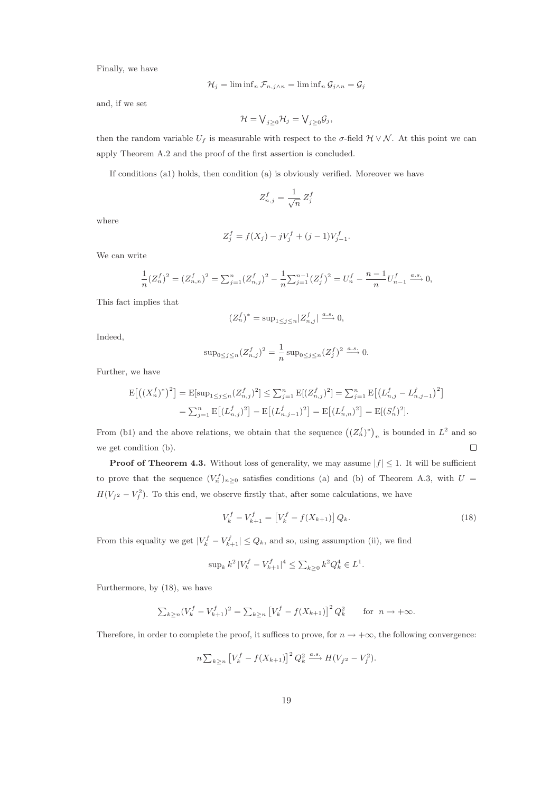Finally, we have

$$
\mathcal{H}_j = \liminf_n \mathcal{F}_{n,j \wedge n} = \liminf_n \mathcal{G}_{j \wedge n} = \mathcal{G}_j
$$

and, if we set

$$
\mathcal{H}=\bigvee_{j\geq 0}\mathcal{H}_j=\bigvee_{j\geq 0}\mathcal{G}_j,
$$

then the random variable  $U_f$  is measurable with respect to the  $\sigma$ -field  $\mathcal{H} \vee \mathcal{N}$ . At this point we can apply Theorem A.2 and the proof of the first assertion is concluded.

If conditions (a1) holds, then condition (a) is obviously verified. Moreover we have

$$
Z_{n,j}^f = \frac{1}{\sqrt{n}} \, Z_j^f
$$

where

$$
Z_j^f = f(X_j) - jV_j^f + (j-1)V_{j-1}^f.
$$

We can write

$$
\frac{1}{n}(Z_n^f)^2 = (Z_{n,n}^f)^2 = \sum_{j=1}^n (Z_{n,j}^f)^2 - \frac{1}{n}\sum_{j=1}^{n-1} (Z_j^f)^2 = U_n^f - \frac{n-1}{n}U_{n-1}^f \xrightarrow{a.s.} 0,
$$

This fact implies that

$$
(Z_n^f)^* = \sup\nolimits_{1\le j\le n} |Z_{n,j}^f| \stackrel{a.s.}{\longrightarrow} 0,
$$

Indeed,

$$
\sup_{0 \le j \le n} (Z_{n,j}^f)^2 = \frac{1}{n} \sup_{0 \le j \le n} (Z_j^f)^2 \xrightarrow{a.s.} 0.
$$

Further, we have

$$
\begin{aligned} \mathcal{E}\big[\big((X_n^f)^*\big)^2\big] &= \mathcal{E}[\sup_{1 \le j \le n} (Z_{n,j}^f)^2] \le \sum_{j=1}^n \mathcal{E}[(Z_{n,j}^f)^2] = \sum_{j=1}^n \mathcal{E}\big[\big(L_{n,j}^f - L_{n,j-1}^f\big)^2\big] \\ &= \sum_{j=1}^n \mathcal{E}\big[(L_{n,j}^f)^2\big] - \mathcal{E}\big[(L_{n,j-1}^f)^2\big] = \mathcal{E}\big[(L_{n,n}^f)^2\big] = \mathcal{E}[(S_n^f)^2]. \end{aligned}
$$

From (b1) and the above relations, we obtain that the sequence  $((Z_n^f)^*)_n$  is bounded in  $L^2$  and so  $\Box$ we get condition (b).

**Proof of Theorem 4.3.** Without loss of generality, we may assume  $|f| \leq 1$ . It will be sufficient to prove that the sequence  $(V_n^f)_{n\geq 0}$  satisfies conditions (a) and (b) of Theorem A.3, with  $U =$  $H(V_{f^2} - V_f^2)$ . To this end, we observe firstly that, after some calculations, we have

$$
V_k^f - V_{k+1}^f = \left[ V_k^f - f(X_{k+1}) \right] Q_k. \tag{18}
$$

From this equality we get  $|V_k^f - V_{k+1}^f| \leq Q_k$ , and so, using assumption (ii), we find

$$
\sup_k k^2 |V_k^f - V_{k+1}^f|^4 \le \sum_{k \ge 0} k^2 Q_k^4 \in L^1.
$$

Furthermore, by (18), we have

$$
\sum_{k \ge n} (V_k^f - V_{k+1}^f)^2 = \sum_{k \ge n} \left[ V_k^f - f(X_{k+1}) \right]^2 Q_k^2 \quad \text{for } n \to +\infty.
$$

Therefore, in order to complete the proof, it suffices to prove, for  $n \to +\infty$ , the following convergence:

$$
n \sum_{k \ge n} \left[ V_k^f - f(X_{k+1}) \right]^2 Q_k^2 \xrightarrow{a.s.} H(V_{f^2} - V_f^2).
$$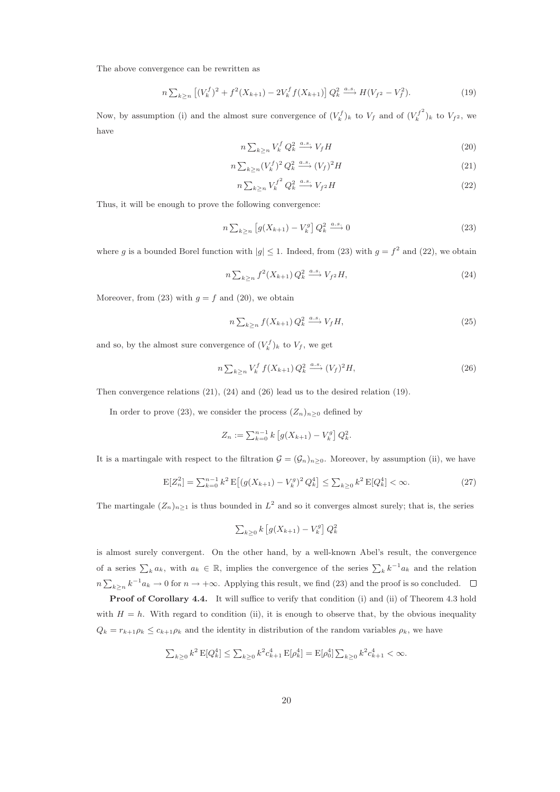The above convergence can be rewritten as

$$
n\sum_{k\geq n} \left[ (V_k^f)^2 + f^2(X_{k+1}) - 2V_k^f f(X_{k+1}) \right] Q_k^2 \xrightarrow{a.s.} H(V_{f^2} - V_f^2). \tag{19}
$$

Now, by assumption (i) and the almost sure convergence of  $(V_k^f)_k$  to  $V_f$  and of  $({V_k^f}^2)_k$  $\binom{J}{k}$  )<sub>k</sub> to  $V_{f^2}$ , we have

$$
n\sum_{k\geq n} V_k^f Q_k^2 \xrightarrow{a.s.} V_f H \tag{20}
$$

$$
n\sum_{k\geq n}(V_k^f)^2 Q_k^2 \xrightarrow{a.s.} (V_f)^2 H \tag{21}
$$

$$
n\sum_{k\geq n}V_k^{f^2}Q_k^2 \xrightarrow{a.s.} V_{f^2}H\tag{22}
$$

Thus, it will be enough to prove the following convergence:

$$
n\sum_{k\geq n}\left[g(X_{k+1})-V_k^g\right]Q_k^2 \xrightarrow{a.s.} 0\tag{23}
$$

where g is a bounded Borel function with  $|g| \leq 1$ . Indeed, from (23) with  $g = f^2$  and (22), we obtain

$$
n\sum_{k\geq n} f^2(X_{k+1}) Q_k^2 \xrightarrow{a.s.} V_{f^2} H,
$$
\n(24)

Moreover, from (23) with  $g = f$  and (20), we obtain

$$
n\sum_{k\geq n} f(X_{k+1}) Q_k^2 \xrightarrow{a.s.} V_f H,
$$
\n(25)

and so, by the almost sure convergence of  $(V_k^f)_k$  to  $V_f$ , we get

$$
n\sum_{k\geq n} V_k^f f(X_{k+1}) Q_k^2 \xrightarrow{a.s.} (V_f)^2 H,
$$
\n(26)

Then convergence relations (21), (24) and (26) lead us to the desired relation (19).

In order to prove (23), we consider the process  $(Z_n)_{n\geq 0}$  defined by

$$
Z_n := \sum_{k=0}^{n-1} k \left[ g(X_{k+1}) - V_k^g \right] Q_k^2.
$$

It is a martingale with respect to the filtration  $\mathcal{G} = (\mathcal{G}_n)_{n>0}$ . Moreover, by assumption (ii), we have

$$
E[Z_n^2] = \sum_{k=0}^{n-1} k^2 E\left[ (g(X_{k+1}) - V_k^g)^2 Q_k^4 \right] \le \sum_{k \ge 0} k^2 E[Q_k^4] < \infty. \tag{27}
$$

The martingale  $(Z_n)_{n\geq 1}$  is thus bounded in  $L^2$  and so it converges almost surely; that is, the series

$$
\sum_{k\geq 0} k \left[ g(X_{k+1}) - V_k^g \right] Q_k^2
$$

is almost surely convergent. On the other hand, by a well-known Abel's result, the convergence of a series  $\sum_k a_k$ , with  $a_k \in \mathbb{R}$ , implies the convergence of the series  $\sum_k k^{-1} a_k$  and the relation  $n\sum_{k\geq n} k^{-1}a_k\to 0$  for  $n\to+\infty$ . Applying this result, we find (23) and the proof is so concluded.

Proof of Corollary 4.4. It will suffice to verify that condition (i) and (ii) of Theorem 4.3 hold with  $H = h$ . With regard to condition (ii), it is enough to observe that, by the obvious inequality  $Q_k = r_{k+1}\rho_k \leq c_{k+1}\rho_k$  and the identity in distribution of the random variables  $\rho_k$ , we have

$$
\sum_{k\geq 0} k^2 \, \mathbf{E}[Q_k^4] \leq \sum_{k\geq 0} k^2 c_{k+1}^4 \, \mathbf{E}[\rho_k^4] = \mathbf{E}[\rho_0^4] \sum_{k\geq 0} k^2 c_{k+1}^4 < \infty.
$$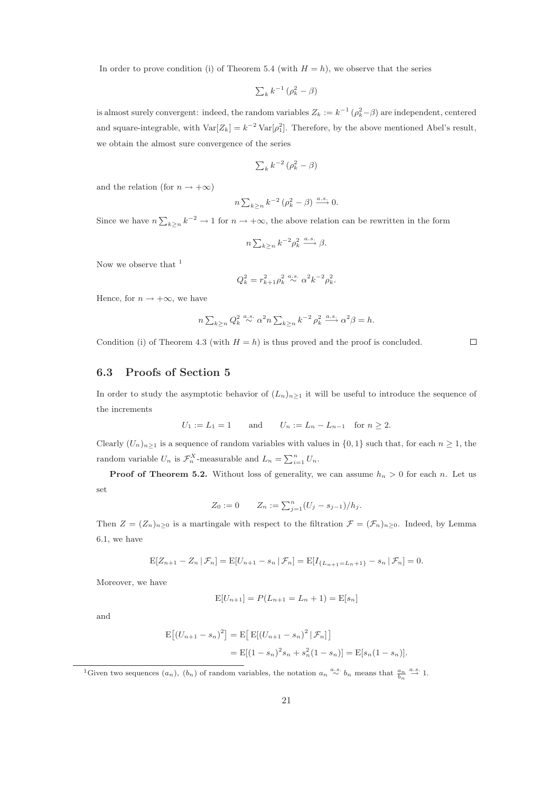In order to prove condition (i) of Theorem 5.4 (with  $H = h$ ), we observe that the series

$$
\sum_{k} k^{-1} \left( \rho_k^2 - \beta \right)
$$

is almost surely convergent: indeed, the random variables  $Z_k := k^{-1} (\rho_k^2 - \beta)$  are independent, centered and square-integrable, with  $\text{Var}[Z_k] = k^{-2} \text{Var}[\rho_1^2]$ . Therefore, by the above mentioned Abel's result, we obtain the almost sure convergence of the series

$$
\sum_{k} k^{-2} \left( \rho_k^2 - \beta \right)
$$

and the relation (for  $n \to +\infty$ )

$$
n\sum_{k\geq n}k^{-2}\left(\rho_k^2-\beta\right)\xrightarrow{a.s.}0.
$$

Since we have  $n \sum_{k \geq n} k^{-2} \to 1$  for  $n \to +\infty$ , the above relation can be rewritten in the form

$$
n\textstyle\sum_{k\ge n}k^{-2}\rho_k^2\stackrel{a.s.}{\longrightarrow}\beta.
$$

Now we observe that  $<sup>1</sup>$ </sup>

$$
Q_k^2=r_{k+1}^2\rho_k^2\stackrel{a.s.}{\sim}\alpha^2k^{-2}\rho_k^2.
$$

Hence, for  $n \to +\infty$ , we have

$$
n\sum_{k\geq n} Q_k^2 \stackrel{a.s.}{\sim} \alpha^2 n \sum_{k\geq n} k^{-2} \rho_k^2 \stackrel{a.s.}{\longrightarrow} \alpha^2 \beta = h.
$$

Condition (i) of Theorem 4.3 (with  $H = h$ ) is thus proved and the proof is concluded.

# $\Box$

### 6.3 Proofs of Section 5

In order to study the asymptotic behavior of  $(L_n)_{n\geq 1}$  it will be useful to introduce the sequence of the increments

$$
U_1 := L_1 = 1
$$
 and  $U_n := L_n - L_{n-1}$  for  $n \ge 2$ .

Clearly  $(U_n)_{n\geq 1}$  is a sequence of random variables with values in  $\{0,1\}$  such that, for each  $n\geq 1$ , the random variable  $U_n$  is  $\mathcal{F}_n^X$ -measurable and  $L_n = \sum_{i=1}^n U_n$ .

**Proof of Theorem 5.2.** Without loss of generality, we can assume  $h_n > 0$  for each n. Let us set

$$
Z_0 := 0 \t Z_n := \sum_{j=1}^n (U_j - s_{j-1})/h_j.
$$

Then  $Z = (Z_n)_{n\geq 0}$  is a martingale with respect to the filtration  $\mathcal{F} = (\mathcal{F}_n)_{n\geq 0}$ . Indeed, by Lemma 6.1, we have

$$
E[Z_{n+1} - Z_n | \mathcal{F}_n] = E[U_{n+1} - s_n | \mathcal{F}_n] = E[I_{\{L_{n+1} = L_n + 1\}} - s_n | \mathcal{F}_n] = 0.
$$

Moreover, we have

$$
E[U_{n+1}] = P(L_{n+1} = L_n + 1) = E[s_n]
$$

and

$$
E[(U_{n+1} - s_n)^2] = E[E[(U_{n+1} - s_n)^2 | \mathcal{F}_n]]
$$
  
= 
$$
E[(1 - s_n)^2 s_n + s_n^2 (1 - s_n)] = E[s_n (1 - s_n)].
$$

<sup>1</sup>Given two sequences  $(a_n)$ ,  $(b_n)$  of random variables, the notation  $a_n \stackrel{a.s.}{\sim} b_n$  means that  $\frac{a_n}{b_n} \stackrel{a.s.}{\rightarrow} 1$ .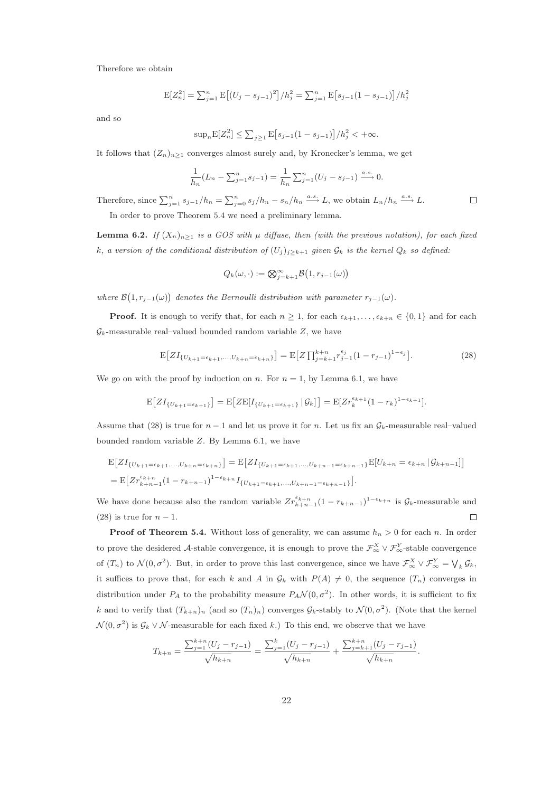Therefore we obtain

$$
E[Z_n^2] = \sum_{j=1}^n E\left[(U_j - s_{j-1})^2\right] / h_j^2 = \sum_{j=1}^n E\left[s_{j-1}(1 - s_{j-1})\right] / h_j^2
$$

and so

$$
\sup_n \mathbb{E}[Z_n^2] \leq \sum_{j\geq 1} \mathbb{E}\big[s_{j-1}(1-s_{j-1})\big]/h_j^2 < +\infty.
$$

It follows that  $(Z_n)_{n\geq 1}$  converges almost surely and, by Kronecker's lemma, we get

$$
\frac{1}{h_n}(L_n - \sum_{j=1}^n s_{j-1}) = \frac{1}{h_n} \sum_{j=1}^n (U_j - s_{j-1}) \xrightarrow{a.s.} 0.
$$

Therefore, since  $\sum_{j=1}^{n} s_{j-1}/h_n = \sum_{j=0}^{n} s_j/h_n - s_n/h_n \stackrel{a.s.}{\longrightarrow} L$ , we obtain  $L_n/h_n \stackrel{a.s.}{\longrightarrow} L$ .  $\Box$ In order to prove Theorem 5.4 we need a preliminary lemma.

**Lemma 6.2.** If  $(X_n)_{n>1}$  is a GOS with  $\mu$  diffuse, then (with the previous notation), for each fixed k, a version of the conditional distribution of  $(U_j)_{j\geq k+1}$  given  $\mathcal{G}_k$  is the kernel  $Q_k$  so defined:

$$
Q_k(\omega, \cdot) := \bigotimes_{j=k+1}^{\infty} \mathcal{B}\big(1, r_{j-1}(\omega)\big)
$$

where  $\mathcal{B}(1,r_{j-1}(\omega))$  denotes the Bernoulli distribution with parameter  $r_{j-1}(\omega)$ .

**Proof.** It is enough to verify that, for each  $n \geq 1$ , for each  $\epsilon_{k+1}, \ldots, \epsilon_{k+n} \in \{0, 1\}$  and for each  $\mathcal{G}_k$ -measurable real–valued bounded random variable Z, we have

$$
\mathcal{E}\big[ZI_{\{U_{k+1}=\epsilon_{k+1},...,U_{k+n}=\epsilon_{k+n}\}}\big] = \mathcal{E}\big[Z\prod_{j=k+1}^{k+n}r_{j-1}^{\epsilon_j}(1-r_{j-1})^{1-\epsilon_j}\big].\tag{28}
$$

We go on with the proof by induction on n. For  $n = 1$ , by Lemma 6.1, we have

$$
\mathbb{E}\big[ZI_{\{U_{k+1}=\epsilon_{k+1}\}}\big] = \mathbb{E}\big[Z\mathbb{E}[I_{\{U_{k+1}=\epsilon_{k+1}\}} | \mathcal{G}_k]\big] = \mathbb{E}[Zr_k^{\epsilon_{k+1}}(1-r_k)^{1-\epsilon_{k+1}}].
$$

Assume that (28) is true for  $n-1$  and let us prove it for n. Let us fix an  $\mathcal{G}_k$ -measurable real–valued bounded random variable Z. By Lemma 6.1, we have

$$
\begin{split} & \mathbb{E}\big[ZI_{\{U_{k+1}=\epsilon_{k+1},...,U_{k+n}=\epsilon_{k+n}\}}\big] = \mathbb{E}\big[ZI_{\{U_{k+1}=\epsilon_{k+1},...,U_{k+n-1}=\epsilon_{k+n-1}\}}\mathbb{E}[U_{k+n}=\epsilon_{k+n} \,|\, \mathcal{G}_{k+n-1}]\big] \\ & = \mathbb{E}\big[Zr_{k+n-1}^{\epsilon_{k+n}}(1-r_{k+n-1})^{1-\epsilon_{k+n}}I_{\{U_{k+1}=\epsilon_{k+1},...,U_{k+n-1}=\epsilon_{k+n-1}\}}\big]. \end{split}
$$

We have done because also the random variable  $Zr_{k+n-1}^{\epsilon_{k+n}}(1-r_{k+n-1})^{1-\epsilon_{k+n}}$  is  $\mathcal{G}_k$ -measurable and (28) is true for  $n-1$ .  $\Box$ 

**Proof of Theorem 5.4.** Without loss of generality, we can assume  $h_n > 0$  for each n. In order to prove the desidered A-stable convergence, it is enough to prove the  $\mathcal{F}_{\infty}^X \vee \mathcal{F}_{\infty}^Y$ -stable convergence of  $(T_n)$  to  $\mathcal{N}(0, \sigma^2)$ . But, in order to prove this last convergence, since we have  $\mathcal{F}_{\infty}^X \vee \mathcal{F}_{\infty}^Y = \bigvee_k \mathcal{G}_k$ , it suffices to prove that, for each k and A in  $\mathcal{G}_k$  with  $P(A) \neq 0$ , the sequence  $(T_n)$  converges in distribution under  $P_A$  to the probability measure  $P_A \mathcal{N}(0, \sigma^2)$ . In other words, it is sufficient to fix k and to verify that  $(T_{k+n})_n$  (and so  $(T_n)_n$ ) converges  $\mathcal{G}_k$ -stably to  $\mathcal{N}(0, \sigma^2)$ . (Note that the kernel  $\mathcal{N}(0, \sigma^2)$  is  $\mathcal{G}_k \vee \mathcal{N}$ -measurable for each fixed k.) To this end, we observe that we have

$$
T_{k+n} = \frac{\sum_{j=1}^{k+n} (U_j - r_{j-1})}{\sqrt{h_{k+n}}} = \frac{\sum_{j=1}^{k} (U_j - r_{j-1})}{\sqrt{h_{k+n}}} + \frac{\sum_{j=k+1}^{k+n} (U_j - r_{j-1})}{\sqrt{h_{k+n}}}.
$$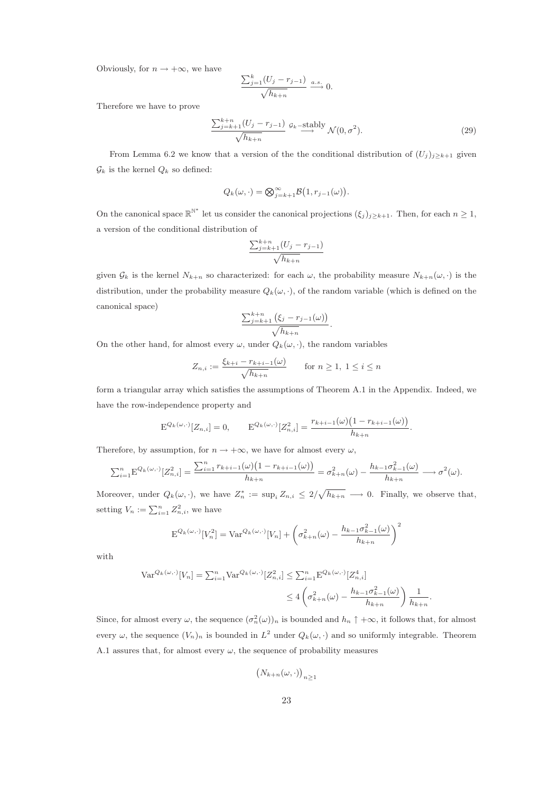Obviously, for  $n \to +\infty$ , we have

$$
\frac{\sum_{j=1}^{k} (U_j - r_{j-1})}{\sqrt{h_{k+n}}} \xrightarrow{a.s.} 0.
$$

Therefore we have to prove

$$
\frac{\sum_{j=k+1}^{k+n} (U_j - r_{j-1})}{\sqrt{h_{k+n}}} \xrightarrow{g_k \text{-stably}} \mathcal{N}(0, \sigma^2). \tag{29}
$$

From Lemma 6.2 we know that a version of the the conditional distribution of  $(U_j)_{j\geq k+1}$  given  $\mathcal{G}_k$  is the kernel  $Q_k$  so defined:

$$
Q_k(\omega,\cdot)=\bigotimes_{j=k+1}^{\infty} \mathcal{B}\big(1,r_{j-1}(\omega)\big).
$$

On the canonical space  $\mathbb{R}^{\mathbb{N}^*}$  let us consider the canonical projections  $(\xi_j)_{j\geq k+1}$ . Then, for each  $n\geq 1$ , a version of the conditional distribution of

$$
\frac{\sum_{j=k+1}^{k+n} (U_j - r_{j-1})}{\sqrt{h_{k+n}}}
$$

given  $\mathcal{G}_k$  is the kernel  $N_{k+n}$  so characterized: for each  $\omega$ , the probability measure  $N_{k+n}(\omega, \cdot)$  is the distribution, under the probability measure  $Q_k(\omega, \cdot)$ , of the random variable (which is defined on the canonical space)

$$
\frac{\sum_{j=k+1}^{k+n} (\xi_j - r_{j-1}(\omega))}{\sqrt{h_{k+n}}}
$$

.

On the other hand, for almost every  $\omega$ , under  $Q_k(\omega, \cdot)$ , the random variables

$$
Z_{n,i} := \frac{\xi_{k+i} - r_{k+i-1}(\omega)}{\sqrt{h_{k+n}}} \quad \text{for } n \ge 1, 1 \le i \le n
$$

form a triangular array which satisfies the assumptions of Theorem A.1 in the Appendix. Indeed, we have the row-independence property and

$$
\mathcal{E}^{Q_k(\omega,\cdot)}[Z_{n,i}] = 0, \qquad \mathcal{E}^{Q_k(\omega,\cdot)}[Z_{n,i}^2] = \frac{r_{k+i-1}(\omega)\big(1 - r_{k+i-1}(\omega)\big)}{h_{k+n}}.
$$

Therefore, by assumption, for  $n \to +\infty$ , we have for almost every  $\omega$ ,

$$
\sum_{i=1}^{n} \mathbf{E}^{Q_k(\omega,\cdot)}[Z_{n,i}^2] = \frac{\sum_{i=1}^{n} r_{k+i-1}(\omega) \left(1 - r_{k+i-1}(\omega)\right)}{h_{k+n}} = \sigma_{k+n}^2(\omega) - \frac{h_{k-1} \sigma_{k-1}^2(\omega)}{h_{k+n}} \longrightarrow \sigma^2(\omega).
$$

Moreover, under  $Q_k(\omega, \cdot)$ , we have  $Z_n^* := \sup_i Z_{n,i} \leq 2/\sqrt{h_{k+n}} \longrightarrow 0$ . Finally, we observe that, setting  $V_n := \sum_{i=1}^n Z_{n,i}^2$ , we have

$$
\mathbf{E}^{Q_k(\omega,\cdot)}[V_n^2] = \text{Var}^{Q_k(\omega,\cdot)}[V_n] + \left(\sigma_{k+n}^2(\omega) - \frac{h_{k-1}\sigma_{k-1}^2(\omega)}{h_{k+n}}\right)^2
$$

with

$$
\operatorname{Var}^{Q_k(\omega, \cdot)}[V_n] = \sum_{i=1}^n \operatorname{Var}^{Q_k(\omega, \cdot)}[Z_{n,i}^2] \le \sum_{i=1}^n \operatorname{E}^{Q_k(\omega, \cdot)}[Z_{n,i}^4] \le 4\left(\sigma_{k+n}^2(\omega) - \frac{h_{k-1}\sigma_{k-1}^2(\omega)}{h_{k+n}}\right) \frac{1}{h_{k+n}}.
$$

Since, for almost every  $\omega$ , the sequence  $(\sigma_n^2(\omega))_n$  is bounded and  $h_n \uparrow +\infty$ , it follows that, for almost every  $\omega$ , the sequence  $(V_n)_n$  is bounded in  $L^2$  under  $Q_k(\omega, \cdot)$  and so uniformly integrable. Theorem A.1 assures that, for almost every  $\omega$ , the sequence of probability measures

$$
(N_{k+n}(\omega,\cdot))_{n\geq 1}
$$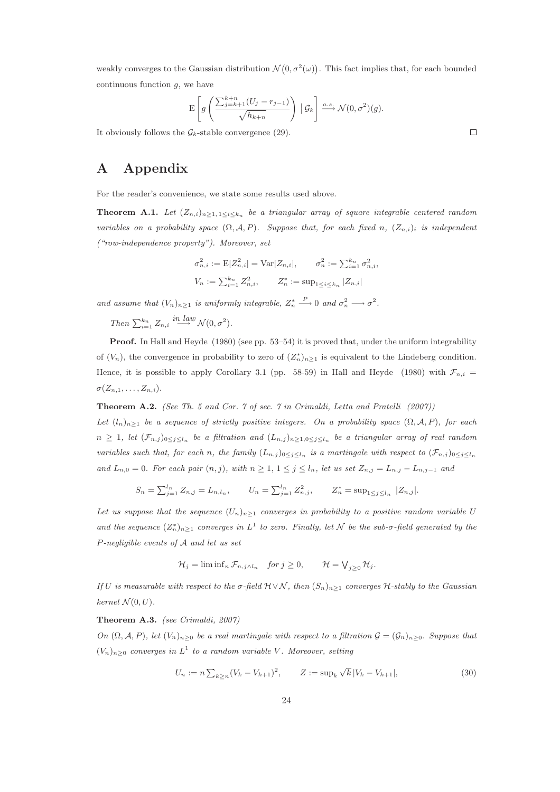weakly converges to the Gaussian distribution  $\mathcal{N}(0, \sigma^2(\omega))$ . This fact implies that, for each bounded continuous function  $g$ , we have

$$
\mathbf{E}\left[g\left(\frac{\sum_{j=k+1}^{k+n}(U_j-r_{j-1})}{\sqrt{h_{k+n}}}\right) | \mathcal{G}_k\right] \xrightarrow{a.s.} \mathcal{N}(0,\sigma^2)(g).
$$

It obviously follows the  $\mathcal{G}_k$ -stable convergence (29).

# A Appendix

For the reader's convenience, we state some results used above.

**Theorem A.1.** Let  $(Z_{n,i})_{n\geq1, 1\leq i\leq k_n}$  be a triangular array of square integrable centered random variables on a probability space  $(\Omega, \mathcal{A}, P)$ . Suppose that, for each fixed n,  $(Z_{n,i})_i$  is independent ("row-independence property"). Moreover, set

$$
\sigma_{n,i}^2 := \mathbb{E}[Z_{n,i}^2] = \text{Var}[Z_{n,i}], \qquad \sigma_n^2 := \sum_{i=1}^{k_n} \sigma_{n,i}^2,
$$
  

$$
V_n := \sum_{i=1}^{k_n} Z_{n,i}^2, \qquad Z_n^* := \sup_{1 \le i \le k_n} |Z_{n,i}|
$$

and assume that  $(V_n)_{n\geq 1}$  is uniformly integrable,  $Z_n^* \stackrel{P}{\longrightarrow} 0$  and  $\sigma_n^2 \longrightarrow \sigma^2$ .

Then  $\sum_{i=1}^{k_n} Z_{n,i} \stackrel{in \; law}{\longrightarrow} \mathcal{N}(0, \sigma^2)$ .

Proof. In Hall and Heyde (1980) (see pp. 53–54) it is proved that, under the uniform integrability of  $(V_n)$ , the convergence in probability to zero of  $(Z_n^*)_{n\geq 1}$  is equivalent to the Lindeberg condition. Hence, it is possible to apply Corollary 3.1 (pp. 58-59) in Hall and Heyde (1980) with  $\mathcal{F}_{n,i}$  =  $\sigma(Z_{n,1},\ldots,Z_{n,i}).$ 

**Theorem A.2.** (See Th. 5 and Cor. 7 of sec. 7 in Crimaldi, Letta and Pratelli  $(2007)$ ) Let  $(l_n)_{n\geq 1}$  be a sequence of strictly positive integers. On a probability space  $(\Omega, \mathcal{A}, P)$ , for each  $n \geq 1$ , let  $(\mathcal{F}_{n,j})_{0 \leq j \leq l_n}$  be a filtration and  $(L_{n,j})_{n \geq 1, 0 \leq j \leq l_n}$  be a triangular array of real random variables such that, for each n, the family  $(L_{n,j})_{0\leq j\leq l_n}$  is a martingale with respect to  $(\mathcal{F}_{n,j})_{0\leq j\leq l_n}$ and  $L_{n,0} = 0$ . For each pair  $(n, j)$ , with  $n \geq 1, 1 \leq j \leq l_n$ , let us set  $Z_{n,j} = L_{n,j} - L_{n,j-1}$  and

$$
S_n = \sum_{j=1}^{l_n} Z_{n,j} = L_{n,l_n}, \qquad U_n = \sum_{j=1}^{l_n} Z_{n,j}^2, \qquad Z_n^* = \sup_{1 \le j \le l_n} |Z_{n,j}|.
$$

Let us suppose that the sequence  $(U_n)_{n\geq 1}$  converges in probability to a positive random variable U and the sequence  $(Z_n^*)_{n\geq 1}$  converges in  $L^1$  to zero. Finally, let  $\mathcal N$  be the sub- $\sigma$ -field generated by the P-negligible events of A and let us set

$$
\mathcal{H}_j = \liminf_n \mathcal{F}_{n,j \wedge l_n} \quad \text{for } j \ge 0, \qquad \mathcal{H} = \bigvee_{j \ge 0} \mathcal{H}_j.
$$

If U is measurable with respect to the  $\sigma$ -field  $\mathcal{H} \vee \mathcal{N}$ , then  $(S_n)_{n \geq 1}$  converges  $\mathcal{H}$ -stably to the Gaussian kernel  $\mathcal{N}(0, U)$ .

#### Theorem A.3. (see Crimaldi, 2007)

On  $(\Omega, \mathcal{A}, P)$ , let  $(V_n)_{n>0}$  be a real martingale with respect to a filtration  $\mathcal{G} = (\mathcal{G}_n)_{n>0}$ . Suppose that  $(V_n)_{n\geq 0}$  converges in  $L^1$  to a random variable V. Moreover, setting

$$
U_n := n \sum_{k \ge n} (V_k - V_{k+1})^2, \qquad Z := \sup_k \sqrt{k} |V_k - V_{k+1}|,\tag{30}
$$

 $\Box$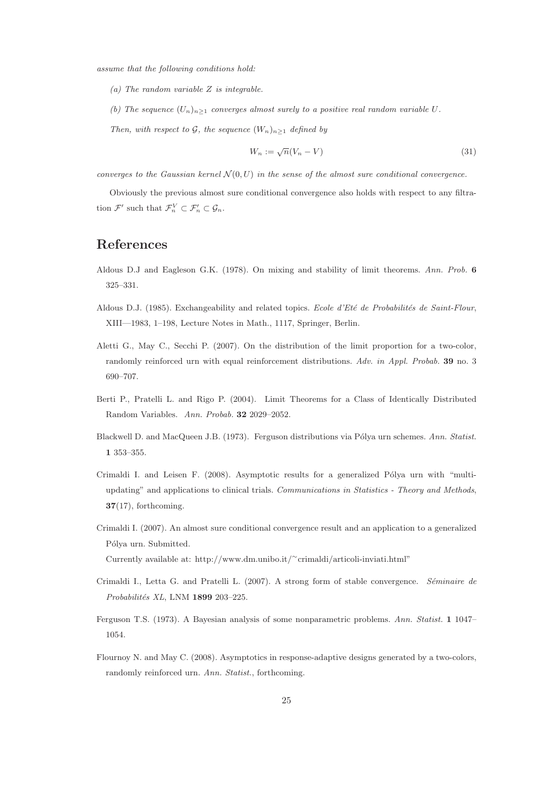assume that the following conditions hold:

- (a) The random variable Z is integrable.
- (b) The sequence  $(U_n)_{n>1}$  converges almost surely to a positive real random variable U.

Then, with respect to G, the sequence  $(W_n)_{n\geq 1}$  defined by

$$
W_n := \sqrt{n}(V_n - V) \tag{31}
$$

converges to the Gaussian kernel  $\mathcal{N}(0, U)$  in the sense of the almost sure conditional convergence.

Obviously the previous almost sure conditional convergence also holds with respect to any filtration  $\mathcal{F}'$  such that  $\mathcal{F}_n^V \subset \mathcal{F}_n' \subset \mathcal{G}_n$ .

## References

- Aldous D.J and Eagleson G.K. (1978). On mixing and stability of limit theorems. Ann. Prob. 6 325–331.
- Aldous D.J. (1985). Exchangeability and related topics. Ecole d'Eté de Probabilités de Saint-Flour, XIII—1983, 1–198, Lecture Notes in Math., 1117, Springer, Berlin.
- Aletti G., May C., Secchi P. (2007). On the distribution of the limit proportion for a two-color, randomly reinforced urn with equal reinforcement distributions. Adv. in Appl. Probab. 39 no. 3 690–707.
- Berti P., Pratelli L. and Rigo P. (2004). Limit Theorems for a Class of Identically Distributed Random Variables. Ann. Probab. 32 2029–2052.
- Blackwell D. and MacQueen J.B. (1973). Ferguson distributions via Pólya urn schemes. Ann. Statist. 1 353–355.
- Crimaldi I. and Leisen F.  $(2008)$ . Asymptotic results for a generalized Pólya urn with "multiupdating" and applications to clinical trials. Communications in Statistics - Theory and Methods, 37(17), forthcoming.
- Crimaldi I. (2007). An almost sure conditional convergence result and an application to a generalized Pólya urn. Submitted. Currently available at: http://www.dm.unibo.it/<sup>∼</sup>crimaldi/articoli-inviati.html"
- Crimaldi I., Letta G. and Pratelli L. (2007). A strong form of stable convergence. Séminaire de Probabilités XL, LNM 1899 203-225.
- Ferguson T.S. (1973). A Bayesian analysis of some nonparametric problems. Ann. Statist. 1 1047– 1054.
- Flournoy N. and May C. (2008). Asymptotics in response-adaptive designs generated by a two-colors, randomly reinforced urn. Ann. Statist., forthcoming.